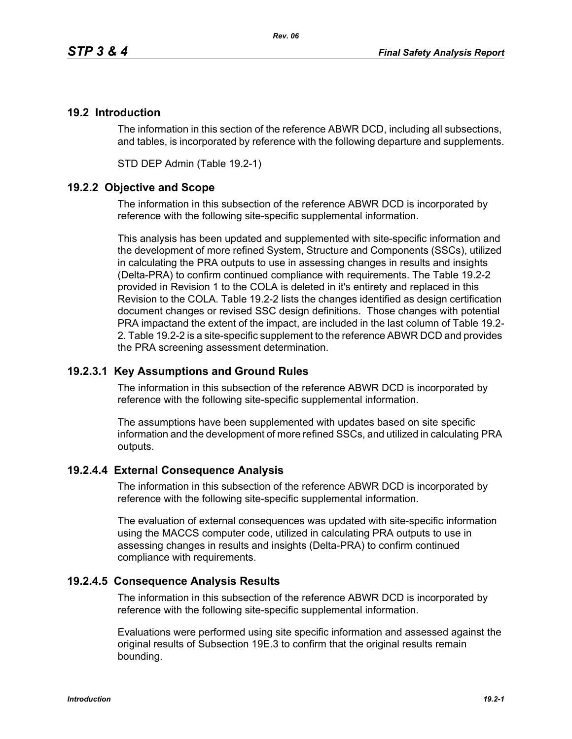### **19.2 Introduction**

The information in this section of the reference ABWR DCD, including all subsections, and tables, is incorporated by reference with the following departure and supplements.

STD DEP Admin (Table 19.2-1)

### **19.2.2 Objective and Scope**

The information in this subsection of the reference ABWR DCD is incorporated by reference with the following site-specific supplemental information.

This analysis has been updated and supplemented with site-specific information and the development of more refined System, Structure and Components (SSCs), utilized in calculating the PRA outputs to use in assessing changes in results and insights (Delta-PRA) to confirm continued compliance with requirements. The Table 19.2-2 provided in Revision 1 to the COLA is deleted in it's entirety and replaced in this Revision to the COLA. Table 19.2-2 lists the changes identified as design certification document changes or revised SSC design definitions. Those changes with potential PRA impactand the extent of the impact, are included in the last column of Table 19.2- 2. Table 19.2-2 is a site-specific supplement to the reference ABWR DCD and provides the PRA screening assessment determination.

### **19.2.3.1 Key Assumptions and Ground Rules**

The information in this subsection of the reference ABWR DCD is incorporated by reference with the following site-specific supplemental information.

The assumptions have been supplemented with updates based on site specific information and the development of more refined SSCs, and utilized in calculating PRA outputs.

### **19.2.4.4 External Consequence Analysis**

The information in this subsection of the reference ABWR DCD is incorporated by reference with the following site-specific supplemental information.

The evaluation of external consequences was updated with site-specific information using the MACCS computer code, utilized in calculating PRA outputs to use in assessing changes in results and insights (Delta-PRA) to confirm continued compliance with requirements.

### **19.2.4.5 Consequence Analysis Results**

The information in this subsection of the reference ABWR DCD is incorporated by reference with the following site-specific supplemental information.

Evaluations were performed using site specific information and assessed against the original results of Subsection 19E.3 to confirm that the original results remain bounding.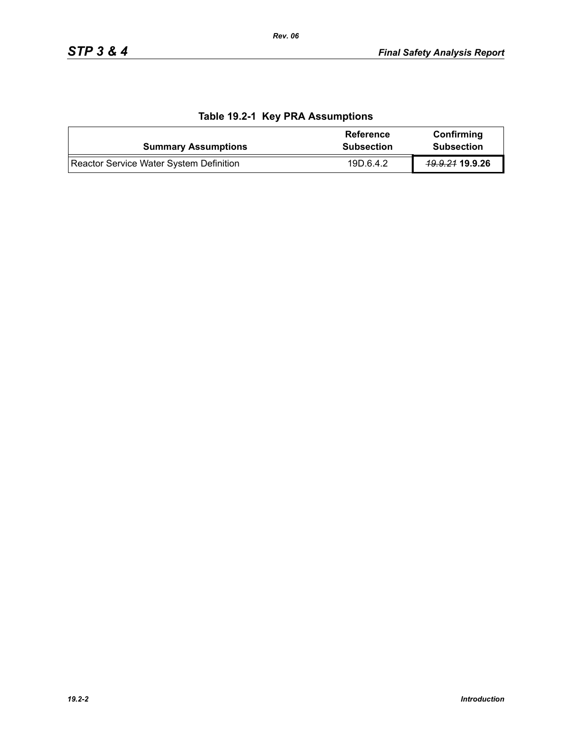| <b>Summary Assumptions</b>              | Reference<br><b>Subsection</b> | Confirming<br><b>Subsection</b> |
|-----------------------------------------|--------------------------------|---------------------------------|
| Reactor Service Water System Definition | 19D.6.4.2                      | <del>19.9.21</del> 19.9.26      |

## **Table 19.2-1 Key PRA Assumptions**

*Rev. 06*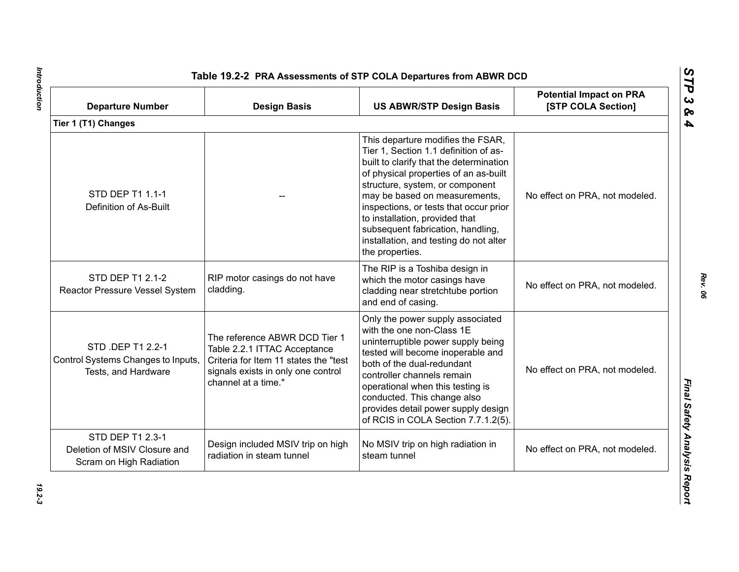| <b>Departure Number</b>                                                        | <b>Design Basis</b>                                                                                                                                                 | <b>US ABWR/STP Design Basis</b>                                                                                                                                                                                                                                                                                                                                                                                  | <b>Potential Impact on PRA</b><br>[STP COLA Section] |
|--------------------------------------------------------------------------------|---------------------------------------------------------------------------------------------------------------------------------------------------------------------|------------------------------------------------------------------------------------------------------------------------------------------------------------------------------------------------------------------------------------------------------------------------------------------------------------------------------------------------------------------------------------------------------------------|------------------------------------------------------|
| Tier 1 (T1) Changes                                                            |                                                                                                                                                                     |                                                                                                                                                                                                                                                                                                                                                                                                                  |                                                      |
| STD DEP T1 1.1-1<br>Definition of As-Built                                     |                                                                                                                                                                     | This departure modifies the FSAR,<br>Tier 1, Section 1.1 definition of as-<br>built to clarify that the determination<br>of physical properties of an as-built<br>structure, system, or component<br>may be based on measurements,<br>inspections, or tests that occur prior<br>to installation, provided that<br>subsequent fabrication, handling,<br>installation, and testing do not alter<br>the properties. | No effect on PRA, not modeled.                       |
| STD DEP T1 2.1-2<br>Reactor Pressure Vessel System                             | RIP motor casings do not have<br>cladding.                                                                                                                          | The RIP is a Toshiba design in<br>which the motor casings have<br>cladding near stretchtube portion<br>and end of casing.                                                                                                                                                                                                                                                                                        | No effect on PRA, not modeled.                       |
| STD .DEP T1 2.2-1<br>Control Systems Changes to Inputs,<br>Tests, and Hardware | The reference ABWR DCD Tier 1<br>Table 2.2.1 ITTAC Acceptance<br>Criteria for Item 11 states the "test<br>signals exists in only one control<br>channel at a time." | Only the power supply associated<br>with the one non-Class 1E<br>uninterruptible power supply being<br>tested will become inoperable and<br>both of the dual-redundant<br>controller channels remain<br>operational when this testing is<br>conducted. This change also<br>provides detail power supply design<br>of RCIS in COLA Section 7.7.1.2(5).                                                            | No effect on PRA, not modeled.                       |
| STD DEP T1 2.3-1<br>Deletion of MSIV Closure and<br>Scram on High Radiation    | Design included MSIV trip on high<br>radiation in steam tunnel                                                                                                      | No MSIV trip on high radiation in<br>steam tunnel                                                                                                                                                                                                                                                                                                                                                                | No effect on PRA, not modeled.                       |

Introduction *Introduction 19.2-3*

*Rev. 06*

*STP 3 & 4*

 $19.2 - 3$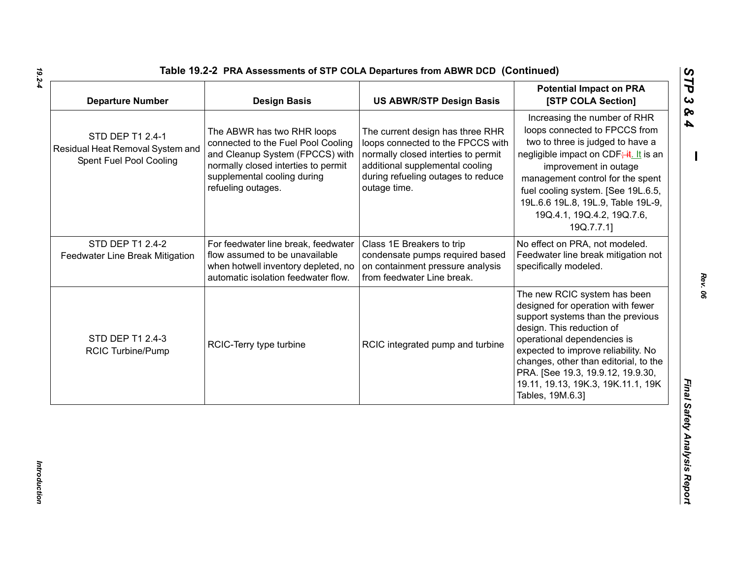| <b>Departure Number</b>                                                         | <b>Design Basis</b>                                                                                                                                                                             | <b>US ABWR/STP Design Basis</b>                                                                                                                                                                       | <b>Potential Impact on PRA</b><br>[STP COLA Section]                                                                                                                                                                                                                                                                                              |
|---------------------------------------------------------------------------------|-------------------------------------------------------------------------------------------------------------------------------------------------------------------------------------------------|-------------------------------------------------------------------------------------------------------------------------------------------------------------------------------------------------------|---------------------------------------------------------------------------------------------------------------------------------------------------------------------------------------------------------------------------------------------------------------------------------------------------------------------------------------------------|
| STD DEP T1 2.4-1<br>Residual Heat Removal System and<br>Spent Fuel Pool Cooling | The ABWR has two RHR loops<br>connected to the Fuel Pool Cooling<br>and Cleanup System (FPCCS) with<br>normally closed interties to permit<br>supplemental cooling during<br>refueling outages. | The current design has three RHR<br>loops connected to the FPCCS with<br>normally closed interties to permit<br>additional supplemental cooling<br>during refueling outages to reduce<br>outage time. | Increasing the number of RHR<br>loops connected to FPCCS from<br>two to three is judged to have a<br>negligible impact on CDF; it. It is an<br>improvement in outage<br>management control for the spent<br>fuel cooling system. [See 19L.6.5,<br>19L.6.6 19L.8, 19L.9, Table 19L-9,<br>19Q.4.1, 19Q.4.2, 19Q.7.6,<br>19Q.7.7.1]                  |
| STD DEP T1 2.4-2<br>Feedwater Line Break Mitigation                             | For feedwater line break, feedwater<br>flow assumed to be unavailable<br>when hotwell inventory depleted, no<br>automatic isolation feedwater flow.                                             | Class 1E Breakers to trip<br>condensate pumps required based<br>on containment pressure analysis<br>from feedwater Line break.                                                                        | No effect on PRA, not modeled.<br>Feedwater line break mitigation not<br>specifically modeled.                                                                                                                                                                                                                                                    |
| STD DEP T1 2.4-3<br><b>RCIC Turbine/Pump</b>                                    | RCIC-Terry type turbine                                                                                                                                                                         | RCIC integrated pump and turbine                                                                                                                                                                      | The new RCIC system has been<br>designed for operation with fewer<br>support systems than the previous<br>design. This reduction of<br>operational dependencies is<br>expected to improve reliability. No<br>changes, other than editorial, to the<br>PRA. [See 19.3, 19.9.12, 19.9.30,<br>19.11, 19.13, 19K.3, 19K.11.1, 19K<br>Tables, 19M.6.3] |

*19.2-4*

*STP 3 & 4*

*Rev. 06*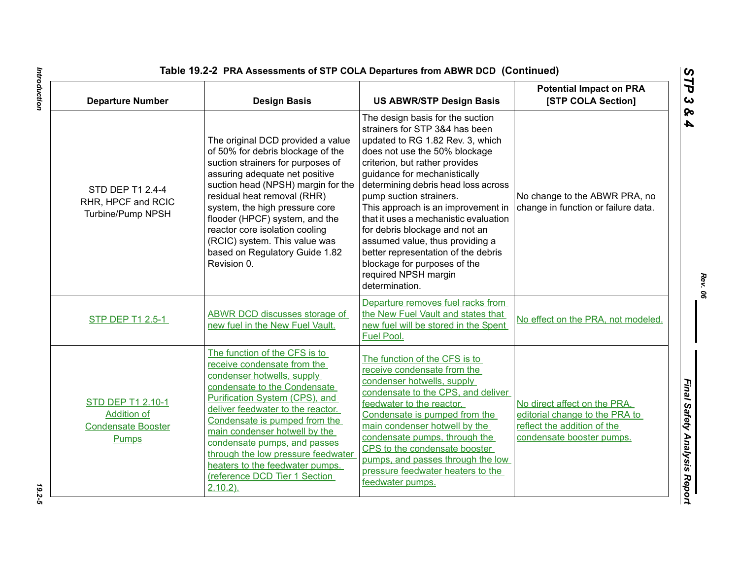| <b>Departure Number</b>                                                                     | <b>Design Basis</b>                                                                                                                                                                                                                                                                                                                                                                                                          | <b>US ABWR/STP Design Basis</b>                                                                                                                                                                                                                                                                                                                                                                                                                                                                                                                  | <b>Potential Impact on PRA</b><br>[STP COLA Section]                                                                       |
|---------------------------------------------------------------------------------------------|------------------------------------------------------------------------------------------------------------------------------------------------------------------------------------------------------------------------------------------------------------------------------------------------------------------------------------------------------------------------------------------------------------------------------|--------------------------------------------------------------------------------------------------------------------------------------------------------------------------------------------------------------------------------------------------------------------------------------------------------------------------------------------------------------------------------------------------------------------------------------------------------------------------------------------------------------------------------------------------|----------------------------------------------------------------------------------------------------------------------------|
| STD DEP T1 2.4-4<br>RHR, HPCF and RCIC<br>Turbine/Pump NPSH                                 | The original DCD provided a value<br>of 50% for debris blockage of the<br>suction strainers for purposes of<br>assuring adequate net positive<br>suction head (NPSH) margin for the<br>residual heat removal (RHR)<br>system, the high pressure core<br>flooder (HPCF) system, and the<br>reactor core isolation cooling<br>(RCIC) system. This value was<br>based on Regulatory Guide 1.82<br>Revision 0.                   | The design basis for the suction<br>strainers for STP 3&4 has been<br>updated to RG 1.82 Rev. 3, which<br>does not use the 50% blockage<br>criterion, but rather provides<br>guidance for mechanistically<br>determining debris head loss across<br>pump suction strainers.<br>This approach is an improvement in<br>that it uses a mechanistic evaluation<br>for debris blockage and not an<br>assumed value, thus providing a<br>better representation of the debris<br>blockage for purposes of the<br>required NPSH margin<br>determination. | No change to the ABWR PRA, no<br>change in function or failure data.                                                       |
| <b>STP DEP T1 2.5-1</b>                                                                     | ABWR DCD discusses storage of<br>new fuel in the New Fuel Vault.                                                                                                                                                                                                                                                                                                                                                             | Departure removes fuel racks from<br>the New Fuel Vault and states that<br>new fuel will be stored in the Spent<br>Fuel Pool.                                                                                                                                                                                                                                                                                                                                                                                                                    | No effect on the PRA, not modeled.                                                                                         |
| <b>STD DEP T1 2.10-1</b><br><b>Addition of</b><br><b>Condensate Booster</b><br><b>Pumps</b> | The function of the CFS is to<br>receive condensate from the<br>condenser hotwells, supply<br>condensate to the Condensate<br>Purification System (CPS), and<br>deliver feedwater to the reactor.<br>Condensate is pumped from the<br>main condenser hotwell by the<br>condensate pumps, and passes<br>through the low pressure feedwater<br>heaters to the feedwater pumps.<br>(reference DCD Tier 1 Section<br>$2.10.2$ ). | The function of the CFS is to<br>receive condensate from the<br>condenser hotwells, supply<br>condensate to the CPS, and deliver<br>feedwater to the reactor.<br>Condensate is pumped from the<br>main condenser hotwell by the<br>condensate pumps, through the<br>CPS to the condensate booster<br>pumps, and passes through the low<br>pressure feedwater heaters to the<br>feedwater pumps.                                                                                                                                                  | No direct affect on the PRA.<br>editorial change to the PRA to<br>reflect the addition of the<br>condensate booster pumps. |

*Rev. 06*

*STP 3 & 4*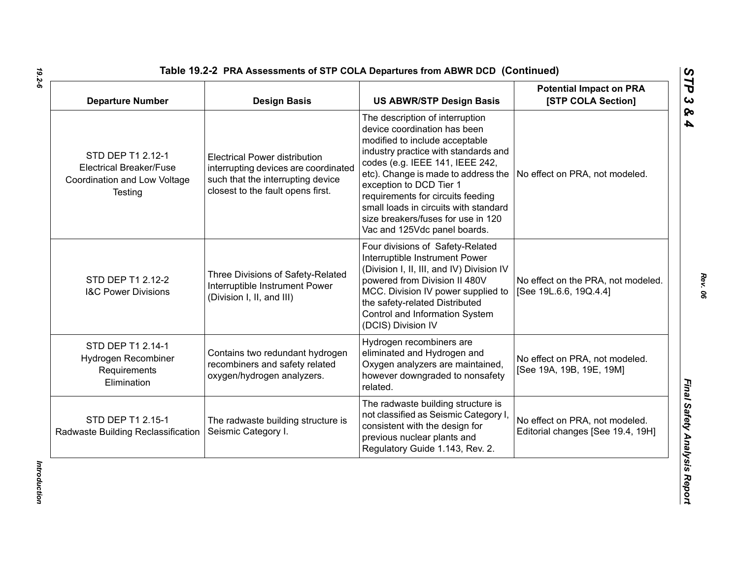| <b>Departure Number</b>                                                                        | <b>Design Basis</b>                                                                                                                                    | <b>US ABWR/STP Design Basis</b>                                                                                                                                                                                                                                                                                                                                                                    | <b>Potential Impact on PRA</b><br>[STP COLA Section]                |
|------------------------------------------------------------------------------------------------|--------------------------------------------------------------------------------------------------------------------------------------------------------|----------------------------------------------------------------------------------------------------------------------------------------------------------------------------------------------------------------------------------------------------------------------------------------------------------------------------------------------------------------------------------------------------|---------------------------------------------------------------------|
| STD DEP T1 2.12-1<br><b>Electrical Breaker/Fuse</b><br>Coordination and Low Voltage<br>Testing | <b>Electrical Power distribution</b><br>interrupting devices are coordinated<br>such that the interrupting device<br>closest to the fault opens first. | The description of interruption<br>device coordination has been<br>modified to include acceptable<br>industry practice with standards and<br>codes (e.g. IEEE 141, IEEE 242,<br>etc). Change is made to address the<br>exception to DCD Tier 1<br>requirements for circuits feeding<br>small loads in circuits with standard<br>size breakers/fuses for use in 120<br>Vac and 125Vdc panel boards. | No effect on PRA, not modeled.                                      |
| STD DEP T1 2.12-2<br><b>I&amp;C Power Divisions</b>                                            | Three Divisions of Safety-Related<br>Interruptible Instrument Power<br>(Division I, II, and III)                                                       | Four divisions of Safety-Related<br>Interruptible Instrument Power<br>(Division I, II, III, and IV) Division IV<br>powered from Division II 480V<br>MCC. Division IV power supplied to<br>the safety-related Distributed<br>Control and Information System<br>(DCIS) Division IV                                                                                                                   | No effect on the PRA, not modeled.<br>[See 19L.6.6, 19Q.4.4]        |
| STD DEP T1 2.14-1<br>Hydrogen Recombiner<br>Requirements<br>Elimination                        | Contains two redundant hydrogen<br>recombiners and safety related<br>oxygen/hydrogen analyzers.                                                        | Hydrogen recombiners are<br>eliminated and Hydrogen and<br>Oxygen analyzers are maintained,<br>however downgraded to nonsafety<br>related.                                                                                                                                                                                                                                                         | No effect on PRA, not modeled.<br>[See 19A, 19B, 19E, 19M]          |
| STD DEP T1 2.15-1<br>Radwaste Building Reclassification                                        | The radwaste building structure is<br>Seismic Category I.                                                                                              | The radwaste building structure is<br>not classified as Seismic Category I<br>consistent with the design for<br>previous nuclear plants and<br>Regulatory Guide 1.143, Rev. 2.                                                                                                                                                                                                                     | No effect on PRA, not modeled.<br>Editorial changes [See 19.4, 19H] |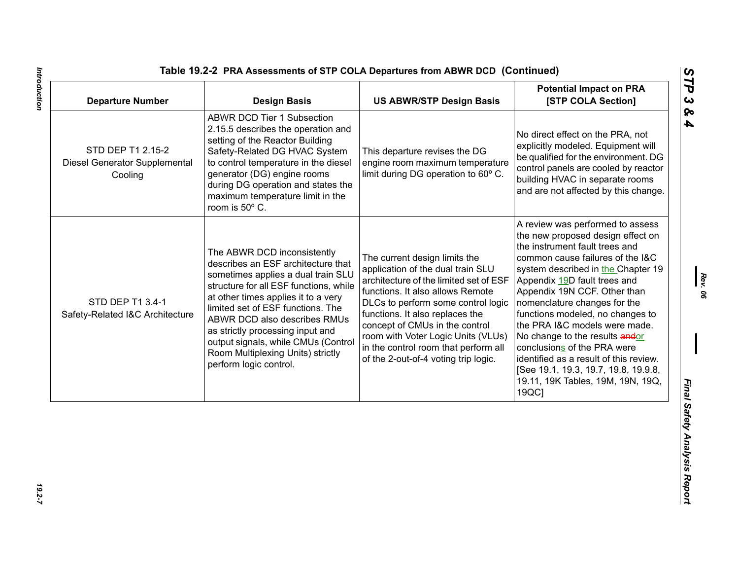| <b>ABWR DCD Tier 1 Subsection</b><br>2.15.5 describes the operation and<br>No direct effect on the PRA, not<br>setting of the Reactor Building<br>STD DEP T1 2.15-2<br>Safety-Related DG HVAC System<br>This departure revises the DG<br>to control temperature in the diesel<br>engine room maximum temperature<br>Diesel Generator Supplemental<br>limit during DG operation to 60° C.<br>generator (DG) engine rooms<br>Cooling<br>building HVAC in separate rooms<br>during DG operation and states the<br>maximum temperature limit in the<br>room is 50° C.<br>the instrument fault trees and<br>The ABWR DCD inconsistently<br>The current design limits the<br>describes an ESF architecture that<br>application of the dual train SLU<br>sometimes applies a dual train SLU<br>architecture of the limited set of ESF<br>Appendix 19D fault trees and<br>structure for all ESF functions, while<br>functions. It also allows Remote<br>Appendix 19N CCF. Other than<br>at other times applies it to a very<br>STD DEP T1 3.4-1<br>DLCs to perform some control logic<br>nomenclature changes for the<br>limited set of ESF functions. The<br>functions. It also replaces the<br>Safety-Related I&C Architecture<br>ABWR DCD also describes RMUs<br>concept of CMUs in the control<br>the PRA I&C models were made.<br>as strictly processing input and<br>room with Voter Logic Units (VLUs)<br>No change to the results andor<br>output signals, while CMUs (Control<br>in the control room that perform all<br>conclusions of the PRA were<br>Room Multiplexing Units) strictly<br>of the 2-out-of-4 voting trip logic.<br>perform logic control. | <b>Departure Number</b> | <b>Design Basis</b> | <b>US ABWR/STP Design Basis</b> | <b>Potential Impact on PRA</b><br>[STP COLA Section]                                                                                                                                                                                                                                                       |
|--------------------------------------------------------------------------------------------------------------------------------------------------------------------------------------------------------------------------------------------------------------------------------------------------------------------------------------------------------------------------------------------------------------------------------------------------------------------------------------------------------------------------------------------------------------------------------------------------------------------------------------------------------------------------------------------------------------------------------------------------------------------------------------------------------------------------------------------------------------------------------------------------------------------------------------------------------------------------------------------------------------------------------------------------------------------------------------------------------------------------------------------------------------------------------------------------------------------------------------------------------------------------------------------------------------------------------------------------------------------------------------------------------------------------------------------------------------------------------------------------------------------------------------------------------------------------------------------------------------------------------------------------------------|-------------------------|---------------------|---------------------------------|------------------------------------------------------------------------------------------------------------------------------------------------------------------------------------------------------------------------------------------------------------------------------------------------------------|
|                                                                                                                                                                                                                                                                                                                                                                                                                                                                                                                                                                                                                                                                                                                                                                                                                                                                                                                                                                                                                                                                                                                                                                                                                                                                                                                                                                                                                                                                                                                                                                                                                                                              |                         |                     |                                 | explicitly modeled. Equipment will<br>be qualified for the environment. DG<br>control panels are cooled by reactor<br>and are not affected by this change.                                                                                                                                                 |
| 19QC]                                                                                                                                                                                                                                                                                                                                                                                                                                                                                                                                                                                                                                                                                                                                                                                                                                                                                                                                                                                                                                                                                                                                                                                                                                                                                                                                                                                                                                                                                                                                                                                                                                                        |                         |                     |                                 | A review was performed to assess<br>the new proposed design effect on<br>common cause failures of the I&C<br>system described in the Chapter 19<br>functions modeled, no changes to<br>identified as a result of this review.<br>[See 19.1, 19.3, 19.7, 19.8, 19.9.8,<br>19.11, 19K Tables, 19M, 19N, 19Q, |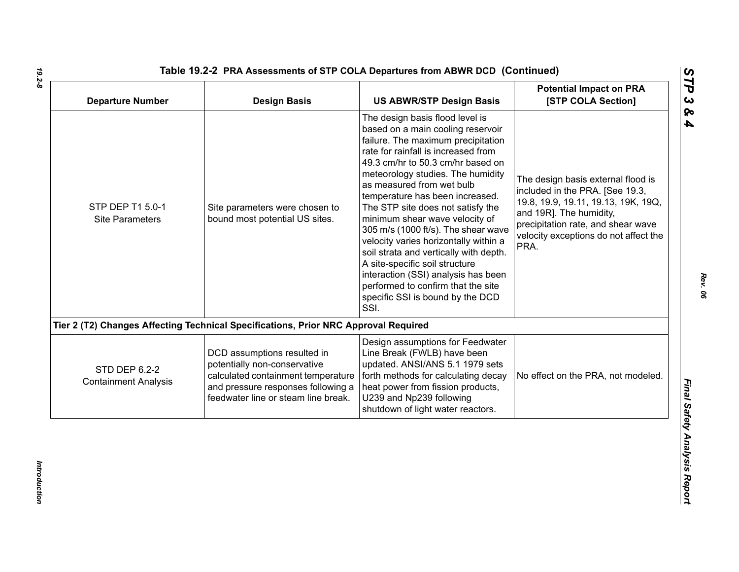| <b>Departure Number</b>                      | <b>Design Basis</b>                                                                                                                                                            | <b>US ABWR/STP Design Basis</b>                                                                                                                                                                                                                                                                                                                                                                                                                                                                                                                                                                                                                         | <b>Potential Impact on PRA</b><br>[STP COLA Section]                                                                                                                                                                           |
|----------------------------------------------|--------------------------------------------------------------------------------------------------------------------------------------------------------------------------------|---------------------------------------------------------------------------------------------------------------------------------------------------------------------------------------------------------------------------------------------------------------------------------------------------------------------------------------------------------------------------------------------------------------------------------------------------------------------------------------------------------------------------------------------------------------------------------------------------------------------------------------------------------|--------------------------------------------------------------------------------------------------------------------------------------------------------------------------------------------------------------------------------|
| STP DEP T1 5.0-1<br><b>Site Parameters</b>   | Site parameters were chosen to<br>bound most potential US sites.                                                                                                               | The design basis flood level is<br>based on a main cooling reservoir<br>failure. The maximum precipitation<br>rate for rainfall is increased from<br>49.3 cm/hr to 50.3 cm/hr based on<br>meteorology studies. The humidity<br>as measured from wet bulb<br>temperature has been increased.<br>The STP site does not satisfy the<br>minimum shear wave velocity of<br>305 m/s (1000 ft/s). The shear wave<br>velocity varies horizontally within a<br>soil strata and vertically with depth.<br>A site-specific soil structure<br>interaction (SSI) analysis has been<br>performed to confirm that the site<br>specific SSI is bound by the DCD<br>SSI. | The design basis external flood is<br>included in the PRA. [See 19.3,<br>19.8, 19.9, 19.11, 19.13, 19K, 19Q,<br>and 19R]. The humidity,<br>precipitation rate, and shear wave<br>velocity exceptions do not affect the<br>PRA. |
|                                              | Tier 2 (T2) Changes Affecting Technical Specifications, Prior NRC Approval Required                                                                                            |                                                                                                                                                                                                                                                                                                                                                                                                                                                                                                                                                                                                                                                         |                                                                                                                                                                                                                                |
| STD DEP 6.2-2<br><b>Containment Analysis</b> | DCD assumptions resulted in<br>potentially non-conservative<br>calculated containment temperature<br>and pressure responses following a<br>feedwater line or steam line break. | Design assumptions for Feedwater<br>Line Break (FWLB) have been<br>updated. ANSI/ANS 5.1 1979 sets<br>forth methods for calculating decay<br>heat power from fission products,<br>U239 and Np239 following<br>shutdown of light water reactors.                                                                                                                                                                                                                                                                                                                                                                                                         | No effect on the PRA, not modeled.                                                                                                                                                                                             |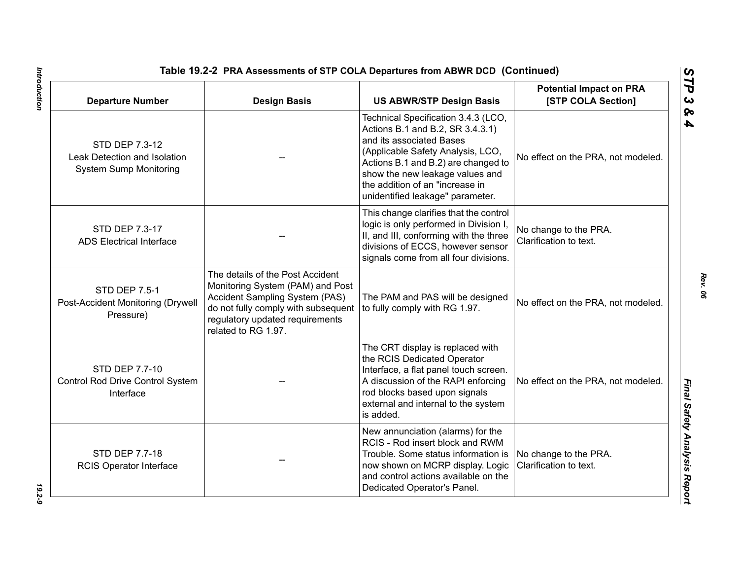| <b>Departure Number</b>                                                         | <b>Design Basis</b>                                                                                                                                                                                     | Table 19.2-2 PRA Assessments of STP COLA Departures from ABWR DCD (Continued)<br><b>US ABWR/STP Design Basis</b>                                                                                                                                                                          | <b>Potential Impact on PRA</b><br>[STP COLA Section] |
|---------------------------------------------------------------------------------|---------------------------------------------------------------------------------------------------------------------------------------------------------------------------------------------------------|-------------------------------------------------------------------------------------------------------------------------------------------------------------------------------------------------------------------------------------------------------------------------------------------|------------------------------------------------------|
| STD DEP 7.3-12<br>Leak Detection and Isolation<br><b>System Sump Monitoring</b> |                                                                                                                                                                                                         | Technical Specification 3.4.3 (LCO,<br>Actions B.1 and B.2, SR 3.4.3.1)<br>and its associated Bases<br>(Applicable Safety Analysis, LCO,<br>Actions B.1 and B.2) are changed to<br>show the new leakage values and<br>the addition of an "increase in<br>unidentified leakage" parameter. | No effect on the PRA, not modeled.                   |
| STD DEP 7.3-17<br><b>ADS Electrical Interface</b>                               |                                                                                                                                                                                                         | This change clarifies that the control<br>logic is only performed in Division I,<br>II, and III, conforming with the three<br>divisions of ECCS, however sensor<br>signals come from all four divisions.                                                                                  | No change to the PRA.<br>Clarification to text.      |
| <b>STD DEP 7.5-1</b><br>Post-Accident Monitoring (Drywell<br>Pressure)          | The details of the Post Accident<br>Monitoring System (PAM) and Post<br>Accident Sampling System (PAS)<br>do not fully comply with subsequent<br>regulatory updated requirements<br>related to RG 1.97. | The PAM and PAS will be designed<br>to fully comply with RG 1.97.                                                                                                                                                                                                                         | No effect on the PRA, not modeled.                   |
| STD DEP 7.7-10<br>Control Rod Drive Control System<br>Interface                 |                                                                                                                                                                                                         | The CRT display is replaced with<br>the RCIS Dedicated Operator<br>Interface, a flat panel touch screen.<br>A discussion of the RAPI enforcing<br>rod blocks based upon signals<br>external and internal to the system<br>is added.                                                       | No effect on the PRA, not modeled.                   |
| <b>STD DEP 7.7-18</b><br><b>RCIS Operator Interface</b>                         |                                                                                                                                                                                                         | New annunciation (alarms) for the<br>RCIS - Rod insert block and RWM<br>Trouble. Some status information is<br>now shown on MCRP display. Logic<br>and control actions available on the<br>Dedicated Operator's Panel.                                                                    | No change to the PRA.<br>Clarification to text.      |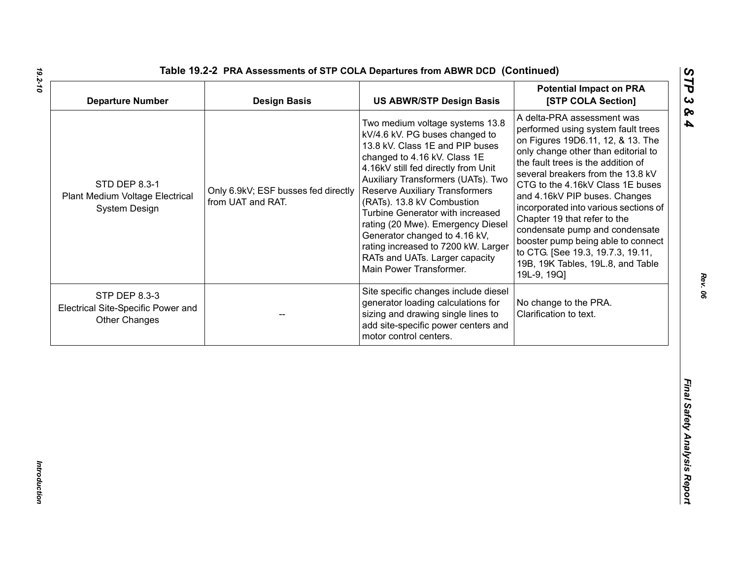| <b>Departure Number</b>                                                     | <b>Design Basis</b>                                      | <b>US ABWR/STP Design Basis</b>                                                                                                                                                                                                                                                                                                                                                                                                                                                                        | <b>Potential Impact on PRA</b><br>[STP COLA Section]                                                                                                                                                                                                                                                                                                                                                                                                                                                                                   |
|-----------------------------------------------------------------------------|----------------------------------------------------------|--------------------------------------------------------------------------------------------------------------------------------------------------------------------------------------------------------------------------------------------------------------------------------------------------------------------------------------------------------------------------------------------------------------------------------------------------------------------------------------------------------|----------------------------------------------------------------------------------------------------------------------------------------------------------------------------------------------------------------------------------------------------------------------------------------------------------------------------------------------------------------------------------------------------------------------------------------------------------------------------------------------------------------------------------------|
| STD DEP 8.3-1<br>Plant Medium Voltage Electrical<br>System Design           | Only 6.9kV; ESF busses fed directly<br>from UAT and RAT. | Two medium voltage systems 13.8<br>kV/4.6 kV. PG buses changed to<br>13.8 kV. Class 1E and PIP buses<br>changed to 4.16 kV. Class 1E<br>4.16kV still fed directly from Unit<br>Auxiliary Transformers (UATs). Two<br><b>Reserve Auxiliary Transformers</b><br>(RATs). 13.8 kV Combustion<br>Turbine Generator with increased<br>rating (20 Mwe). Emergency Diesel<br>Generator changed to 4.16 kV,<br>rating increased to 7200 kW. Larger<br>RATs and UATs. Larger capacity<br>Main Power Transformer. | A delta-PRA assessment was<br>performed using system fault trees<br>on Figures 19D6.11, 12, & 13. The<br>only change other than editorial to<br>the fault trees is the addition of<br>several breakers from the 13.8 kV<br>CTG to the 4.16kV Class 1E buses<br>and 4.16kV PIP buses. Changes<br>incorporated into various sections of<br>Chapter 19 that refer to the<br>condensate pump and condensate<br>booster pump being able to connect<br>to CTG. [See 19.3, 19.7.3, 19.11,<br>19B, 19K Tables, 19L.8, and Table<br>19L-9, 19Q] |
| STP DEP 8.3-3<br>Electrical Site-Specific Power and<br><b>Other Changes</b> |                                                          | Site specific changes include diesel<br>generator loading calculations for<br>sizing and drawing single lines to<br>add site-specific power centers and<br>motor control centers.                                                                                                                                                                                                                                                                                                                      | No change to the PRA.<br>Clarification to text.                                                                                                                                                                                                                                                                                                                                                                                                                                                                                        |
|                                                                             |                                                          |                                                                                                                                                                                                                                                                                                                                                                                                                                                                                                        |                                                                                                                                                                                                                                                                                                                                                                                                                                                                                                                                        |

*19.2-10*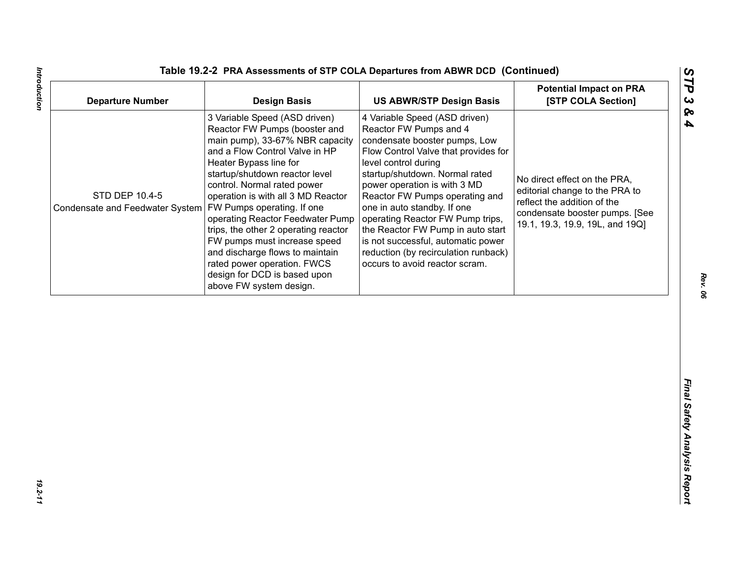| <b>Departure Number</b>                                                        | <b>Design Basis</b>                                                                                                                                                                                                                                                                                                                                                                                                                                                                                           | <b>US ABWR/STP Design Basis</b>                                                                                                                                                                                                                                                                                                                                                                                                                                                      | <b>Potential Impact on PRA</b><br>[STP COLA Section]                                                                                                               |
|--------------------------------------------------------------------------------|---------------------------------------------------------------------------------------------------------------------------------------------------------------------------------------------------------------------------------------------------------------------------------------------------------------------------------------------------------------------------------------------------------------------------------------------------------------------------------------------------------------|--------------------------------------------------------------------------------------------------------------------------------------------------------------------------------------------------------------------------------------------------------------------------------------------------------------------------------------------------------------------------------------------------------------------------------------------------------------------------------------|--------------------------------------------------------------------------------------------------------------------------------------------------------------------|
| STD DEP 10.4-5<br>Condensate and Feedwater System   FW Pumps operating. If one | 3 Variable Speed (ASD driven)<br>Reactor FW Pumps (booster and<br>main pump), 33-67% NBR capacity<br>and a Flow Control Valve in HP<br>Heater Bypass line for<br>startup/shutdown reactor level<br>control. Normal rated power<br>operation is with all 3 MD Reactor<br>operating Reactor Feedwater Pump<br>trips, the other 2 operating reactor<br>FW pumps must increase speed<br>and discharge flows to maintain<br>rated power operation. FWCS<br>design for DCD is based upon<br>above FW system design. | 4 Variable Speed (ASD driven)<br>Reactor FW Pumps and 4<br>condensate booster pumps, Low<br>Flow Control Valve that provides for<br>level control during<br>startup/shutdown. Normal rated<br>power operation is with 3 MD<br>Reactor FW Pumps operating and<br>one in auto standby. If one<br>operating Reactor FW Pump trips,<br>the Reactor FW Pump in auto start<br>is not successful, automatic power<br>reduction (by recirculation runback)<br>occurs to avoid reactor scram. | No direct effect on the PRA,<br>editorial change to the PRA to<br>reflect the addition of the<br>condensate booster pumps. [See<br>19.1, 19.3, 19.9, 19L, and 19Q] |
|                                                                                |                                                                                                                                                                                                                                                                                                                                                                                                                                                                                                               |                                                                                                                                                                                                                                                                                                                                                                                                                                                                                      |                                                                                                                                                                    |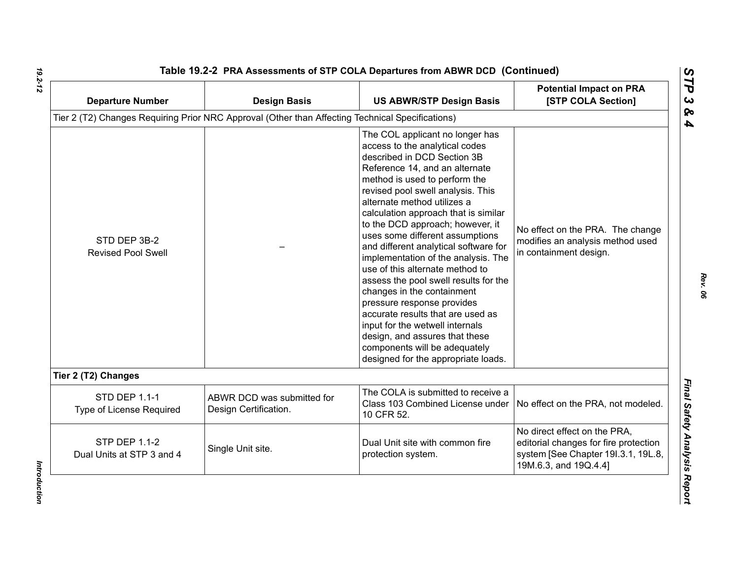| <b>Departure Number</b>                           | <b>Design Basis</b>                                                                              | <b>US ABWR/STP Design Basis</b>                                                                                                                                                                                                                                                                                                                                                                                                                                                                                                                                                                                                                                                                                                                                  | <b>Potential Impact on PRA</b><br>[STP COLA Section]                                                                                  |
|---------------------------------------------------|--------------------------------------------------------------------------------------------------|------------------------------------------------------------------------------------------------------------------------------------------------------------------------------------------------------------------------------------------------------------------------------------------------------------------------------------------------------------------------------------------------------------------------------------------------------------------------------------------------------------------------------------------------------------------------------------------------------------------------------------------------------------------------------------------------------------------------------------------------------------------|---------------------------------------------------------------------------------------------------------------------------------------|
|                                                   | Tier 2 (T2) Changes Requiring Prior NRC Approval (Other than Affecting Technical Specifications) |                                                                                                                                                                                                                                                                                                                                                                                                                                                                                                                                                                                                                                                                                                                                                                  |                                                                                                                                       |
| STD DEP 3B-2<br><b>Revised Pool Swell</b>         |                                                                                                  | The COL applicant no longer has<br>access to the analytical codes<br>described in DCD Section 3B<br>Reference 14, and an alternate<br>method is used to perform the<br>revised pool swell analysis. This<br>alternate method utilizes a<br>calculation approach that is similar<br>to the DCD approach; however, it<br>uses some different assumptions<br>and different analytical software for<br>implementation of the analysis. The<br>use of this alternate method to<br>assess the pool swell results for the<br>changes in the containment<br>pressure response provides<br>accurate results that are used as<br>input for the wetwell internals<br>design, and assures that these<br>components will be adequately<br>designed for the appropriate loads. | No effect on the PRA. The change<br>modifies an analysis method used<br>in containment design.                                        |
| Tier 2 (T2) Changes                               |                                                                                                  |                                                                                                                                                                                                                                                                                                                                                                                                                                                                                                                                                                                                                                                                                                                                                                  |                                                                                                                                       |
| <b>STD DEP 1.1-1</b><br>Type of License Required  | ABWR DCD was submitted for<br>Design Certification.                                              | The COLA is submitted to receive a<br>Class 103 Combined License under<br>10 CFR 52.                                                                                                                                                                                                                                                                                                                                                                                                                                                                                                                                                                                                                                                                             | No effect on the PRA, not modeled.                                                                                                    |
| <b>STP DEP 1.1-2</b><br>Dual Units at STP 3 and 4 | Single Unit site.                                                                                | Dual Unit site with common fire<br>protection system.                                                                                                                                                                                                                                                                                                                                                                                                                                                                                                                                                                                                                                                                                                            | No direct effect on the PRA,<br>editorial changes for fire protection<br>system [See Chapter 191.3.1, 19L.8,<br>19M.6.3, and 19Q.4.4] |

*19.2-12*

*STP 3 & 4*

Introduction *Introduction*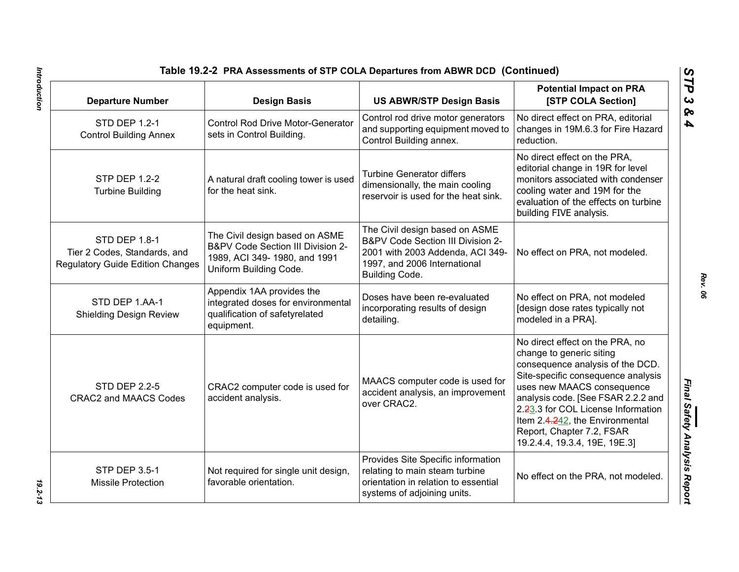# **Table 19.2-2 PRA Assessments of STP COLA Departures from ABWR DCD (Continued)**

| <b>Departure Number</b>                                                                         | <b>Design Basis</b>                                                                                                           | <b>US ABWR/STP Design Basis</b>                                                                                                                                  | <b>Potential Impact on PRA</b><br>[STP COLA Section]                                                                                                                                                                                                                                                                                             |
|-------------------------------------------------------------------------------------------------|-------------------------------------------------------------------------------------------------------------------------------|------------------------------------------------------------------------------------------------------------------------------------------------------------------|--------------------------------------------------------------------------------------------------------------------------------------------------------------------------------------------------------------------------------------------------------------------------------------------------------------------------------------------------|
| <b>STD DEP 1.2-1</b><br><b>Control Building Annex</b>                                           | <b>Control Rod Drive Motor-Generator</b><br>sets in Control Building.                                                         | Control rod drive motor generators<br>and supporting equipment moved to<br>Control Building annex.                                                               | No direct effect on PRA, editorial<br>changes in 19M.6.3 for Fire Hazard<br>reduction.                                                                                                                                                                                                                                                           |
| <b>STP DEP 1.2-2</b><br><b>Turbine Building</b>                                                 | A natural draft cooling tower is used<br>for the heat sink.                                                                   | Turbine Generator differs<br>dimensionally, the main cooling<br>reservoir is used for the heat sink.                                                             | No direct effect on the PRA,<br>editorial change in 19R for level<br>monitors associated with condenser<br>cooling water and 19M for the<br>evaluation of the effects on turbine<br>building FIVE analysis.                                                                                                                                      |
| <b>STD DEP 1.8-1</b><br>Tier 2 Codes, Standards, and<br><b>Regulatory Guide Edition Changes</b> | The Civil design based on ASME<br>B&PV Code Section III Division 2-<br>1989, ACI 349-1980, and 1991<br>Uniform Building Code. | The Civil design based on ASME<br>B&PV Code Section III Division 2-<br>2001 with 2003 Addenda, ACI 349-<br>1997, and 2006 International<br><b>Building Code.</b> | No effect on PRA, not modeled.                                                                                                                                                                                                                                                                                                                   |
| STD DEP 1.AA-1<br><b>Shielding Design Review</b>                                                | Appendix 1AA provides the<br>integrated doses for environmental<br>qualification of safetyrelated<br>equipment.               | Doses have been re-evaluated<br>incorporating results of design<br>detailing.                                                                                    | No effect on PRA, not modeled<br>[design dose rates typically not<br>modeled in a PRA].                                                                                                                                                                                                                                                          |
| <b>STD DEP 2.2-5</b><br><b>CRAC2 and MAACS Codes</b>                                            | CRAC2 computer code is used for<br>accident analysis.                                                                         | MAACS computer code is used for<br>accident analysis, an improvement<br>over CRAC2.                                                                              | No direct effect on the PRA, no<br>change to generic siting<br>consequence analysis of the DCD.<br>Site-specific consequence analysis<br>uses new MAACS consequence<br>analysis code. [See FSAR 2.2.2 and<br>2.23.3 for COL License Information<br>Item 2.4.242, the Environmental<br>Report, Chapter 7.2, FSAR<br>19.2.4.4, 19.3.4, 19E, 19E.3] |
| <b>STP DEP 3.5-1</b><br><b>Missile Protection</b>                                               | Not required for single unit design,<br>favorable orientation.                                                                | Provides Site Specific information<br>relating to main steam turbine<br>orientation in relation to essential<br>systems of adjoining units.                      | No effect on the PRA, not modeled.                                                                                                                                                                                                                                                                                                               |

*STP 3 & 4*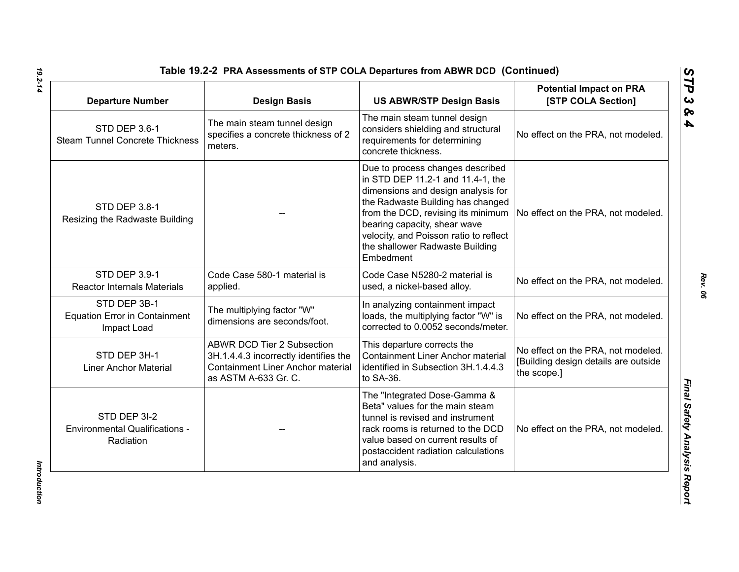| <b>Departure Number</b>                                             | <b>Design Basis</b>                                                                                                                            | <b>US ABWR/STP Design Basis</b>                                                                                                                                                                                                                                                                                  | <b>Potential Impact on PRA</b><br>[STP COLA Section]                                      |
|---------------------------------------------------------------------|------------------------------------------------------------------------------------------------------------------------------------------------|------------------------------------------------------------------------------------------------------------------------------------------------------------------------------------------------------------------------------------------------------------------------------------------------------------------|-------------------------------------------------------------------------------------------|
| STD DEP 3.6-1<br><b>Steam Tunnel Concrete Thickness</b>             | The main steam tunnel design<br>specifies a concrete thickness of 2<br>meters.                                                                 | The main steam tunnel design<br>considers shielding and structural<br>requirements for determining<br>concrete thickness.                                                                                                                                                                                        | No effect on the PRA, not modeled.                                                        |
| STD DEP 3.8-1<br>Resizing the Radwaste Building                     |                                                                                                                                                | Due to process changes described<br>in STD DEP 11.2-1 and 11.4-1, the<br>dimensions and design analysis for<br>the Radwaste Building has changed<br>from the DCD, revising its minimum<br>bearing capacity, shear wave<br>velocity, and Poisson ratio to reflect<br>the shallower Radwaste Building<br>Embedment | No effect on the PRA, not modeled.                                                        |
| STD DEP 3.9-1<br><b>Reactor Internals Materials</b>                 | Code Case 580-1 material is<br>applied.                                                                                                        | Code Case N5280-2 material is<br>used, a nickel-based alloy.                                                                                                                                                                                                                                                     | No effect on the PRA, not modeled.                                                        |
| STD DEP 3B-1<br><b>Equation Error in Containment</b><br>Impact Load | The multiplying factor "W"<br>dimensions are seconds/foot.                                                                                     | In analyzing containment impact<br>loads, the multiplying factor "W" is<br>corrected to 0.0052 seconds/meter.                                                                                                                                                                                                    | No effect on the PRA, not modeled.                                                        |
| STD DEP 3H-1<br><b>Liner Anchor Material</b>                        | <b>ABWR DCD Tier 2 Subsection</b><br>3H.1.4.4.3 incorrectly identifies the<br><b>Containment Liner Anchor material</b><br>as ASTM A-633 Gr. C. | This departure corrects the<br><b>Containment Liner Anchor material</b><br>identified in Subsection 3H.1.4.4.3<br>to SA-36.                                                                                                                                                                                      | No effect on the PRA, not modeled.<br>[Building design details are outside<br>the scope.] |
| STD DEP 3I-2<br><b>Environmental Qualifications -</b><br>Radiation  |                                                                                                                                                | The "Integrated Dose-Gamma &<br>Beta" values for the main steam<br>tunnel is revised and instrument<br>rack rooms is returned to the DCD<br>value based on current results of<br>postaccident radiation calculations<br>and analysis.                                                                            | No effect on the PRA, not modeled.                                                        |

Introduction *Introduction*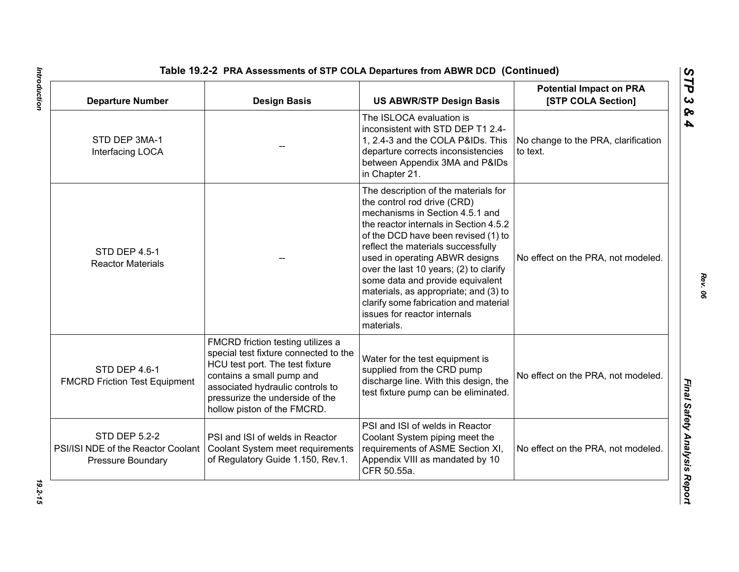| <b>Departure Number</b>                                                                | <b>Design Basis</b>                                                                                                                                                                                                                              | <b>US ABWR/STP Design Basis</b>                                                                                                                                                                                                                                                                                                                                                                                                                                               | <b>Potential Impact on PRA</b><br>[STP COLA Section] |
|----------------------------------------------------------------------------------------|--------------------------------------------------------------------------------------------------------------------------------------------------------------------------------------------------------------------------------------------------|-------------------------------------------------------------------------------------------------------------------------------------------------------------------------------------------------------------------------------------------------------------------------------------------------------------------------------------------------------------------------------------------------------------------------------------------------------------------------------|------------------------------------------------------|
| STD DEP 3MA-1<br>Interfacing LOCA                                                      |                                                                                                                                                                                                                                                  | The ISLOCA evaluation is<br>inconsistent with STD DEP T1 2.4-<br>1, 2.4-3 and the COLA P&IDs. This<br>departure corrects inconsistencies<br>between Appendix 3MA and P&IDs<br>in Chapter 21.                                                                                                                                                                                                                                                                                  | No change to the PRA, clarification<br>to text.      |
| <b>STD DEP 4.5-1</b><br><b>Reactor Materials</b>                                       |                                                                                                                                                                                                                                                  | The description of the materials for<br>the control rod drive (CRD)<br>mechanisms in Section 4.5.1 and<br>the reactor internals in Section 4.5.2<br>of the DCD have been revised (1) to<br>reflect the materials successfully<br>used in operating ABWR designs<br>over the last 10 years; (2) to clarify<br>some data and provide equivalent<br>materials, as appropriate; and (3) to<br>clarify some fabrication and material<br>issues for reactor internals<br>materials. | No effect on the PRA, not modeled.                   |
| STD DEP 4.6-1<br><b>FMCRD Friction Test Equipment</b>                                  | FMCRD friction testing utilizes a<br>special test fixture connected to the<br>HCU test port. The test fixture<br>contains a small pump and<br>associated hydraulic controls to<br>pressurize the underside of the<br>hollow piston of the FMCRD. | Water for the test equipment is<br>supplied from the CRD pump<br>discharge line. With this design, the<br>test fixture pump can be eliminated.                                                                                                                                                                                                                                                                                                                                | No effect on the PRA, not modeled.                   |
| <b>STD DEP 5.2-2</b><br>PSI/ISI NDE of the Reactor Coolant<br><b>Pressure Boundary</b> | PSI and ISI of welds in Reactor<br>Coolant System meet requirements<br>of Regulatory Guide 1.150, Rev.1.                                                                                                                                         | PSI and ISI of welds in Reactor<br>Coolant System piping meet the<br>requirements of ASME Section XI,<br>Appendix VIII as mandated by 10<br>CFR 50.55a.                                                                                                                                                                                                                                                                                                                       | No effect on the PRA, not modeled.                   |

*Rev. 06*

*STP 3 & 4*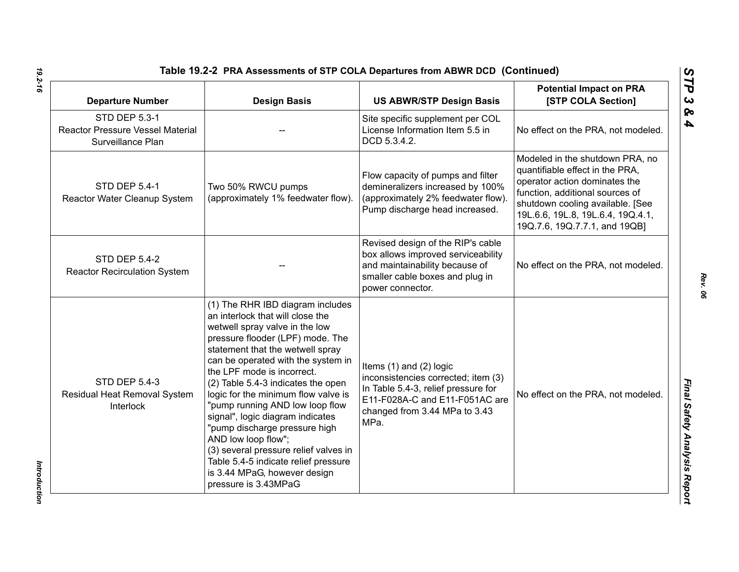| <b>Departure Number</b>                                                              | <b>Design Basis</b>                                                                                                                                                                                                                                                                                                                                                                                                                                                                                                                                                                                     | <b>US ABWR/STP Design Basis</b>                                                                                                                                                      | <b>Potential Impact on PRA</b><br>[STP COLA Section]                                                                                                                                                                                             |
|--------------------------------------------------------------------------------------|---------------------------------------------------------------------------------------------------------------------------------------------------------------------------------------------------------------------------------------------------------------------------------------------------------------------------------------------------------------------------------------------------------------------------------------------------------------------------------------------------------------------------------------------------------------------------------------------------------|--------------------------------------------------------------------------------------------------------------------------------------------------------------------------------------|--------------------------------------------------------------------------------------------------------------------------------------------------------------------------------------------------------------------------------------------------|
| <b>STD DEP 5.3-1</b><br><b>Reactor Pressure Vessel Material</b><br>Surveillance Plan |                                                                                                                                                                                                                                                                                                                                                                                                                                                                                                                                                                                                         | Site specific supplement per COL<br>License Information Item 5.5 in<br>DCD 5.3.4.2.                                                                                                  | No effect on the PRA, not modeled.                                                                                                                                                                                                               |
| <b>STD DEP 5.4-1</b><br>Reactor Water Cleanup System                                 | Two 50% RWCU pumps<br>(approximately 1% feedwater flow).                                                                                                                                                                                                                                                                                                                                                                                                                                                                                                                                                | Flow capacity of pumps and filter<br>demineralizers increased by 100%<br>(approximately 2% feedwater flow).<br>Pump discharge head increased.                                        | Modeled in the shutdown PRA, no<br>quantifiable effect in the PRA,<br>operator action dominates the<br>function, additional sources of<br>shutdown cooling available. [See<br>19L.6.6, 19L.8, 19L.6.4, 19Q.4.1,<br>19Q.7.6, 19Q.7.7.1, and 19QB] |
| <b>STD DEP 5.4-2</b><br><b>Reactor Recirculation System</b>                          |                                                                                                                                                                                                                                                                                                                                                                                                                                                                                                                                                                                                         | Revised design of the RIP's cable<br>box allows improved serviceability<br>and maintainability because of<br>smaller cable boxes and plug in<br>power connector.                     | No effect on the PRA, not modeled.                                                                                                                                                                                                               |
| <b>STD DEP 5.4-3</b><br>Residual Heat Removal System<br>Interlock                    | (1) The RHR IBD diagram includes<br>an interlock that will close the<br>wetwell spray valve in the low<br>pressure flooder (LPF) mode. The<br>statement that the wetwell spray<br>can be operated with the system in<br>the LPF mode is incorrect.<br>(2) Table 5.4-3 indicates the open<br>logic for the minimum flow valve is<br>"pump running AND low loop flow<br>signal", logic diagram indicates<br>"pump discharge pressure high<br>AND low loop flow";<br>(3) several pressure relief valves in<br>Table 5.4-5 indicate relief pressure<br>is 3.44 MPaG, however design<br>pressure is 3.43MPaG | Items $(1)$ and $(2)$ logic<br>inconsistencies corrected; item (3)<br>In Table 5.4-3, relief pressure for<br>E11-F028A-C and E11-F051AC are<br>changed from 3.44 MPa to 3.43<br>MPa. | No effect on the PRA, not modeled.                                                                                                                                                                                                               |

*Introduction* 

Introduction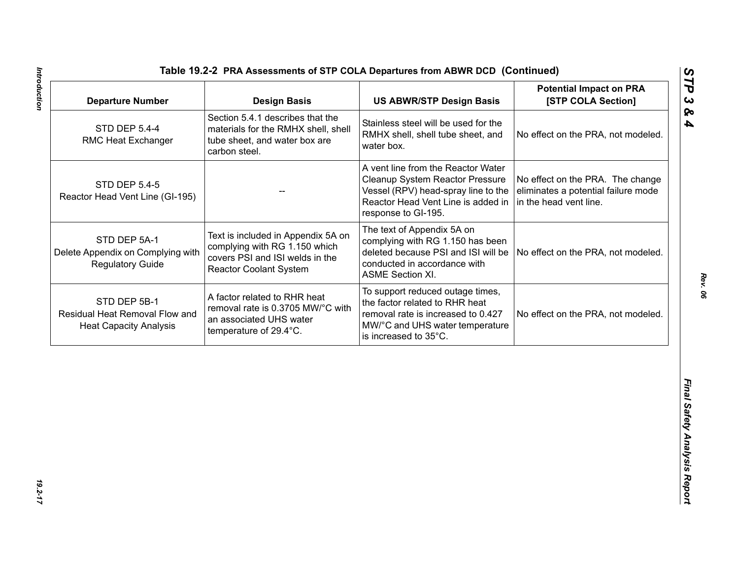| <b>Departure Number</b>                                                         | <b>Design Basis</b>                                                                                                                     | <b>US ABWR/STP Design Basis</b>                                                                                                                                           | <b>Potential Impact on PRA</b><br>[STP COLA Section]                                              |
|---------------------------------------------------------------------------------|-----------------------------------------------------------------------------------------------------------------------------------------|---------------------------------------------------------------------------------------------------------------------------------------------------------------------------|---------------------------------------------------------------------------------------------------|
| <b>STD DEP 5.4-4</b><br>RMC Heat Exchanger                                      | Section 5.4.1 describes that the<br>materials for the RMHX shell, shell<br>tube sheet, and water box are<br>carbon steel.               | Stainless steel will be used for the<br>RMHX shell, shell tube sheet, and<br>water box.                                                                                   | No effect on the PRA, not modeled.                                                                |
| <b>STD DEP 5.4-5</b><br>Reactor Head Vent Line (GI-195)                         |                                                                                                                                         | A vent line from the Reactor Water<br>Cleanup System Reactor Pressure<br>Vessel (RPV) head-spray line to the<br>Reactor Head Vent Line is added in<br>response to GI-195. | No effect on the PRA. The change<br>eliminates a potential failure mode<br>in the head vent line. |
| STD DEP 5A-1<br>Delete Appendix on Complying with<br><b>Regulatory Guide</b>    | Text is included in Appendix 5A on<br>complying with RG 1.150 which<br>covers PSI and ISI welds in the<br><b>Reactor Coolant System</b> | The text of Appendix 5A on<br>complying with RG 1.150 has been<br>deleted because PSI and ISI will be<br>conducted in accordance with<br><b>ASME Section XI.</b>          | No effect on the PRA, not modeled.                                                                |
| STD DEP 5B-1<br>Residual Heat Removal Flow and<br><b>Heat Capacity Analysis</b> | A factor related to RHR heat<br>removal rate is 0.3705 MW/°C with<br>an associated UHS water<br>temperature of 29.4°C.                  | To support reduced outage times,<br>the factor related to RHR heat<br>removal rate is increased to 0.427<br>MW/°C and UHS water temperature<br>is increased to 35°C.      | No effect on the PRA, not modeled.                                                                |
|                                                                                 |                                                                                                                                         |                                                                                                                                                                           |                                                                                                   |
|                                                                                 |                                                                                                                                         |                                                                                                                                                                           |                                                                                                   |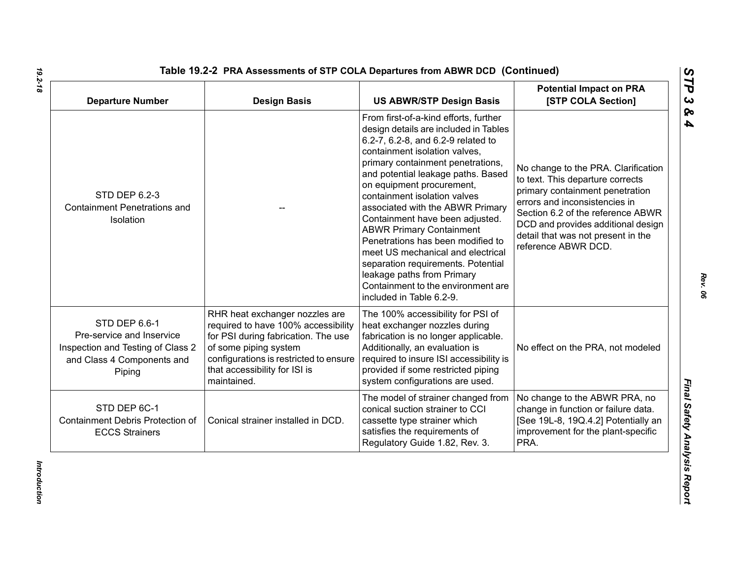| <b>Departure Number</b>                                                                                                 | <b>Design Basis</b>                                                                                                                                                                                                             | <b>US ABWR/STP Design Basis</b>                                                                                                                                                                                                                                                                                                                                                                                                                                                                                                                                                                                         | <b>Potential Impact on PRA</b><br>[STP COLA Section]                                                                                                                                                                                                                                |
|-------------------------------------------------------------------------------------------------------------------------|---------------------------------------------------------------------------------------------------------------------------------------------------------------------------------------------------------------------------------|-------------------------------------------------------------------------------------------------------------------------------------------------------------------------------------------------------------------------------------------------------------------------------------------------------------------------------------------------------------------------------------------------------------------------------------------------------------------------------------------------------------------------------------------------------------------------------------------------------------------------|-------------------------------------------------------------------------------------------------------------------------------------------------------------------------------------------------------------------------------------------------------------------------------------|
| STD DEP 6.2-3<br><b>Containment Penetrations and</b><br>Isolation                                                       |                                                                                                                                                                                                                                 | From first-of-a-kind efforts, further<br>design details are included in Tables<br>6.2-7, 6.2-8, and 6.2-9 related to<br>containment isolation valves,<br>primary containment penetrations,<br>and potential leakage paths. Based<br>on equipment procurement,<br>containment isolation valves<br>associated with the ABWR Primary<br>Containment have been adjusted.<br><b>ABWR Primary Containment</b><br>Penetrations has been modified to<br>meet US mechanical and electrical<br>separation requirements. Potential<br>leakage paths from Primary<br>Containment to the environment are<br>included in Table 6.2-9. | No change to the PRA. Clarification<br>to text. This departure corrects<br>primary containment penetration<br>errors and inconsistencies in<br>Section 6.2 of the reference ABWR<br>DCD and provides additional design<br>detail that was not present in the<br>reference ABWR DCD. |
| STD DEP 6.6-1<br>Pre-service and Inservice<br>Inspection and Testing of Class 2<br>and Class 4 Components and<br>Piping | RHR heat exchanger nozzles are<br>required to have 100% accessibility<br>for PSI during fabrication. The use<br>of some piping system<br>configurations is restricted to ensure<br>that accessibility for ISI is<br>maintained. | The 100% accessibility for PSI of<br>heat exchanger nozzles during<br>fabrication is no longer applicable.<br>Additionally, an evaluation is<br>required to insure ISI accessibility is<br>provided if some restricted piping<br>system configurations are used.                                                                                                                                                                                                                                                                                                                                                        | No effect on the PRA, not modeled                                                                                                                                                                                                                                                   |
| STD DEP 6C-1<br>Containment Debris Protection of<br><b>ECCS Strainers</b>                                               | Conical strainer installed in DCD.                                                                                                                                                                                              | The model of strainer changed from<br>conical suction strainer to CCI<br>cassette type strainer which<br>satisfies the requirements of<br>Regulatory Guide 1.82, Rev. 3.                                                                                                                                                                                                                                                                                                                                                                                                                                                | No change to the ABWR PRA, no<br>change in function or failure data.<br>[See 19L-8, 19Q.4.2] Potentially an<br>improvement for the plant-specific<br>PRA.                                                                                                                           |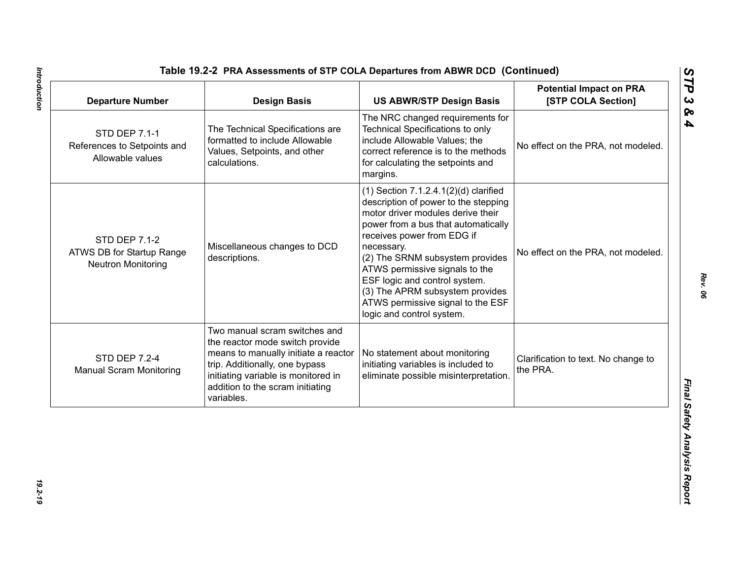| <b>Departure Number</b>                                                        | <b>Design Basis</b>                                                                                                                                                                                                                 | <b>US ABWR/STP Design Basis</b>                                                                                                                                                                                                                                                                                                                                                                                       | <b>Potential Impact on PRA</b><br>[STP COLA Section] |
|--------------------------------------------------------------------------------|-------------------------------------------------------------------------------------------------------------------------------------------------------------------------------------------------------------------------------------|-----------------------------------------------------------------------------------------------------------------------------------------------------------------------------------------------------------------------------------------------------------------------------------------------------------------------------------------------------------------------------------------------------------------------|------------------------------------------------------|
| <b>STD DEP 7.1-1</b><br>References to Setpoints and<br>Allowable values        | The Technical Specifications are<br>formatted to include Allowable<br>Values, Setpoints, and other<br>calculations.                                                                                                                 | The NRC changed requirements for<br><b>Technical Specifications to only</b><br>include Allowable Values; the<br>correct reference is to the methods<br>for calculating the setpoints and<br>margins.                                                                                                                                                                                                                  | No effect on the PRA, not modeled.                   |
| <b>STD DEP 7.1-2</b><br>ATWS DB for Startup Range<br><b>Neutron Monitoring</b> | Miscellaneous changes to DCD<br>descriptions.                                                                                                                                                                                       | $(1)$ Section 7.1.2.4.1 $(2)(d)$ clarified<br>description of power to the stepping<br>motor driver modules derive their<br>power from a bus that automatically<br>receives power from EDG if<br>necessary.<br>(2) The SRNM subsystem provides<br>ATWS permissive signals to the<br>ESF logic and control system.<br>(3) The APRM subsystem provides<br>ATWS permissive signal to the ESF<br>logic and control system. | No effect on the PRA, not modeled.                   |
| <b>STD DEP 7.2-4</b><br><b>Manual Scram Monitoring</b>                         | Two manual scram switches and<br>the reactor mode switch provide<br>means to manually initiate a reactor<br>trip. Additionally, one bypass<br>initiating variable is monitored in<br>addition to the scram initiating<br>variables. | No statement about monitoring<br>initiating variables is included to<br>eliminate possible misinterpretation.                                                                                                                                                                                                                                                                                                         | Clarification to text. No change to<br>the PRA.      |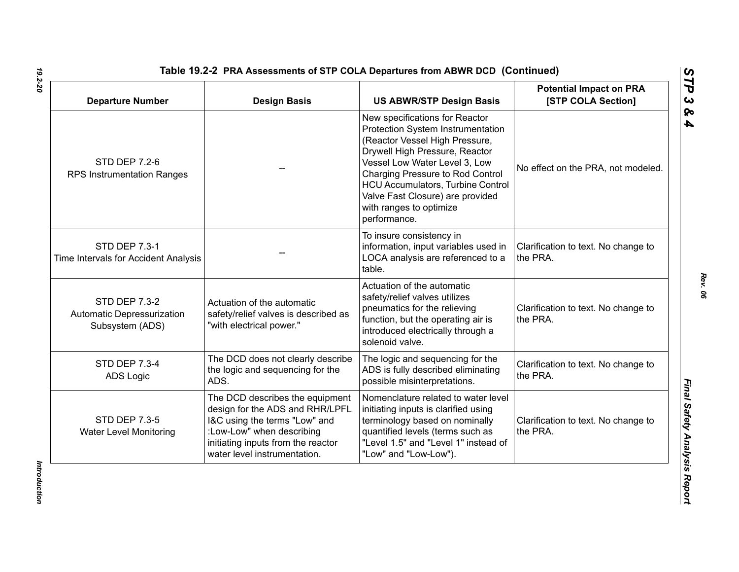| <b>Departure Number</b>                                               | <b>Design Basis</b>                                                                                                                                                                                    | <b>US ABWR/STP Design Basis</b>                                                                                                                                                                                                                                                                                                         | <b>Potential Impact on PRA</b><br>[STP COLA Section] |
|-----------------------------------------------------------------------|--------------------------------------------------------------------------------------------------------------------------------------------------------------------------------------------------------|-----------------------------------------------------------------------------------------------------------------------------------------------------------------------------------------------------------------------------------------------------------------------------------------------------------------------------------------|------------------------------------------------------|
| <b>STD DEP 7.2-6</b><br><b>RPS Instrumentation Ranges</b>             |                                                                                                                                                                                                        | New specifications for Reactor<br>Protection System Instrumentation<br>(Reactor Vessel High Pressure,<br>Drywell High Pressure, Reactor<br>Vessel Low Water Level 3, Low<br>Charging Pressure to Rod Control<br><b>HCU Accumulators, Turbine Control</b><br>Valve Fast Closure) are provided<br>with ranges to optimize<br>performance. | No effect on the PRA, not modeled.                   |
| <b>STD DEP 7.3-1</b><br>Time Intervals for Accident Analysis          |                                                                                                                                                                                                        | To insure consistency in<br>information, input variables used in<br>LOCA analysis are referenced to a<br>table.                                                                                                                                                                                                                         | Clarification to text. No change to<br>the PRA.      |
| <b>STD DEP 7.3-2</b><br>Automatic Depressurization<br>Subsystem (ADS) | Actuation of the automatic<br>safety/relief valves is described as<br>"with electrical power."                                                                                                         | Actuation of the automatic<br>safety/relief valves utilizes<br>pneumatics for the relieving<br>function, but the operating air is<br>introduced electrically through a<br>solenoid valve.                                                                                                                                               | Clarification to text. No change to<br>the PRA.      |
| <b>STD DEP 7.3-4</b><br><b>ADS Logic</b>                              | The DCD does not clearly describe<br>the logic and sequencing for the<br>ADS.                                                                                                                          | The logic and sequencing for the<br>ADS is fully described eliminating<br>possible misinterpretations.                                                                                                                                                                                                                                  | Clarification to text. No change to<br>the PRA.      |
| <b>STD DEP 7.3-5</b><br><b>Water Level Monitoring</b>                 | The DCD describes the equipment<br>design for the ADS and RHR/LPFL<br>I&C using the terms "Low" and<br>:Low-Low" when describing<br>initiating inputs from the reactor<br>water level instrumentation. | Nomenclature related to water level<br>initiating inputs is clarified using<br>terminology based on nominally<br>quantified levels (terms such as<br>"Level 1.5" and "Level 1" instead of<br>"Low" and "Low-Low").                                                                                                                      | Clarification to text. No change to<br>the PRA.      |

Introduction *Introduction*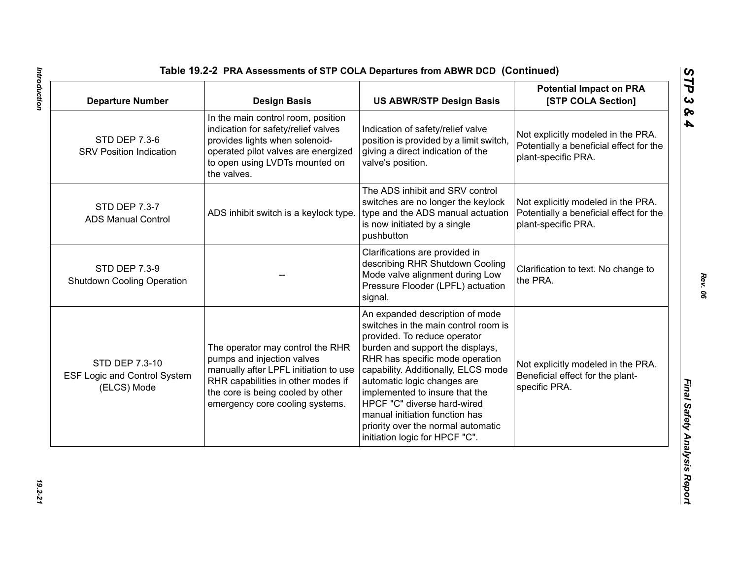| <b>Departure Number</b>                                              | <b>Design Basis</b>                                                                                                                                                                                                   | <b>US ABWR/STP Design Basis</b>                                                                                                                                                                                                                                                                                                                                                                                                 | <b>Potential Impact on PRA</b><br>[STP COLA Section]                                                 |
|----------------------------------------------------------------------|-----------------------------------------------------------------------------------------------------------------------------------------------------------------------------------------------------------------------|---------------------------------------------------------------------------------------------------------------------------------------------------------------------------------------------------------------------------------------------------------------------------------------------------------------------------------------------------------------------------------------------------------------------------------|------------------------------------------------------------------------------------------------------|
| <b>STD DEP 7.3-6</b><br><b>SRV Position Indication</b>               | In the main control room, position<br>indication for safety/relief valves<br>provides lights when solenoid-<br>operated pilot valves are energized<br>to open using LVDTs mounted on<br>the valves.                   | Indication of safety/relief valve<br>position is provided by a limit switch,<br>giving a direct indication of the<br>valve's position.                                                                                                                                                                                                                                                                                          | Not explicitly modeled in the PRA.<br>Potentially a beneficial effect for the<br>plant-specific PRA. |
| STD DEP 7.3-7<br><b>ADS Manual Control</b>                           | ADS inhibit switch is a keylock type.                                                                                                                                                                                 | The ADS inhibit and SRV control<br>switches are no longer the keylock<br>type and the ADS manual actuation<br>is now initiated by a single<br>pushbutton                                                                                                                                                                                                                                                                        | Not explicitly modeled in the PRA.<br>Potentially a beneficial effect for the<br>plant-specific PRA. |
| <b>STD DEP 7.3-9</b><br><b>Shutdown Cooling Operation</b>            |                                                                                                                                                                                                                       | Clarifications are provided in<br>describing RHR Shutdown Cooling<br>Mode valve alignment during Low<br>Pressure Flooder (LPFL) actuation<br>signal.                                                                                                                                                                                                                                                                            | Clarification to text. No change to<br>the PRA.                                                      |
| STD DEP 7.3-10<br><b>ESF Logic and Control System</b><br>(ELCS) Mode | The operator may control the RHR<br>pumps and injection valves<br>manually after LPFL initiation to use<br>RHR capabilities in other modes if<br>the core is being cooled by other<br>emergency core cooling systems. | An expanded description of mode<br>switches in the main control room is<br>provided. To reduce operator<br>burden and support the displays,<br>RHR has specific mode operation<br>capability. Additionally, ELCS mode<br>automatic logic changes are<br>implemented to insure that the<br>HPCF "C" diverse hard-wired<br>manual initiation function has<br>priority over the normal automatic<br>initiation logic for HPCF "C". | Not explicitly modeled in the PRA.<br>Beneficial effect for the plant-<br>specific PRA.              |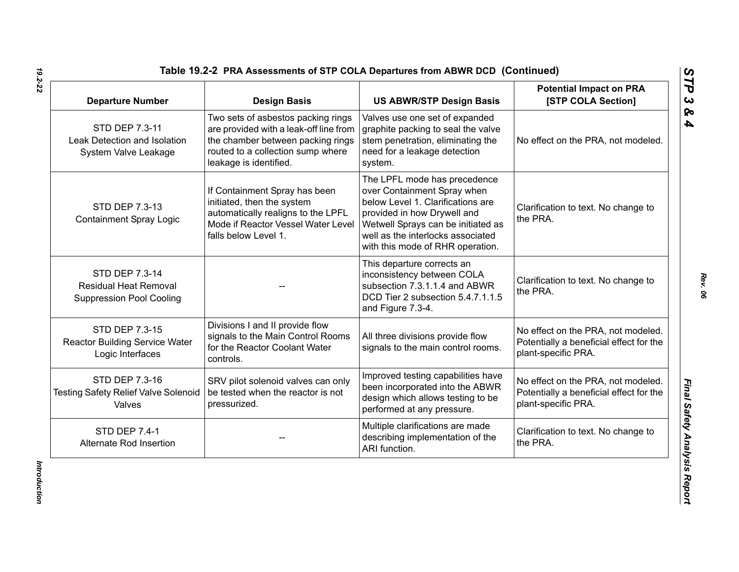| <b>Departure Number</b>                                                           | <b>Design Basis</b>                                                                                                                                                              | <b>US ABWR/STP Design Basis</b>                                                                                                                                                                                                                | <b>Potential Impact on PRA</b><br>[STP COLA Section]                                                 |
|-----------------------------------------------------------------------------------|----------------------------------------------------------------------------------------------------------------------------------------------------------------------------------|------------------------------------------------------------------------------------------------------------------------------------------------------------------------------------------------------------------------------------------------|------------------------------------------------------------------------------------------------------|
| STD DEP 7.3-11<br>Leak Detection and Isolation<br>System Valve Leakage            | Two sets of asbestos packing rings<br>are provided with a leak-off line from<br>the chamber between packing rings<br>routed to a collection sump where<br>leakage is identified. | Valves use one set of expanded<br>graphite packing to seal the valve<br>stem penetration, eliminating the<br>need for a leakage detection<br>system.                                                                                           | No effect on the PRA, not modeled.                                                                   |
| STD DEP 7.3-13<br><b>Containment Spray Logic</b>                                  | If Containment Spray has been<br>initiated, then the system<br>automatically realigns to the LPFL<br>Mode if Reactor Vessel Water Level<br>falls below Level 1.                  | The LPFL mode has precedence<br>over Containment Spray when<br>below Level 1. Clarifications are<br>provided in how Drywell and<br>Wetwell Sprays can be initiated as<br>well as the interlocks associated<br>with this mode of RHR operation. | Clarification to text. No change to<br>the PRA.                                                      |
| STD DEP 7.3-14<br><b>Residual Heat Removal</b><br><b>Suppression Pool Cooling</b> |                                                                                                                                                                                  | This departure corrects an<br>inconsistency between COLA<br>subsection 7.3.1.1.4 and ABWR<br>DCD Tier 2 subsection 5.4.7.1.1.5<br>and Figure 7.3-4.                                                                                            | Clarification to text. No change to<br>the PRA.                                                      |
| STD DEP 7.3-15<br><b>Reactor Building Service Water</b><br>Logic Interfaces       | Divisions I and II provide flow<br>signals to the Main Control Rooms<br>for the Reactor Coolant Water<br>controls.                                                               | All three divisions provide flow<br>signals to the main control rooms.                                                                                                                                                                         | No effect on the PRA, not modeled.<br>Potentially a beneficial effect for the<br>plant-specific PRA. |
| STD DEP 7.3-16<br><b>Testing Safety Relief Valve Solenoid</b><br>Valves           | SRV pilot solenoid valves can only<br>be tested when the reactor is not<br>pressurized.                                                                                          | Improved testing capabilities have<br>been incorporated into the ABWR<br>design which allows testing to be<br>performed at any pressure.                                                                                                       | No effect on the PRA, not modeled.<br>Potentially a beneficial effect for the<br>plant-specific PRA. |
| <b>STD DEP 7.4-1</b><br>Alternate Rod Insertion                                   |                                                                                                                                                                                  | Multiple clarifications are made<br>describing implementation of the<br>ARI function.                                                                                                                                                          | Clarification to text. No change to<br>the PRA.                                                      |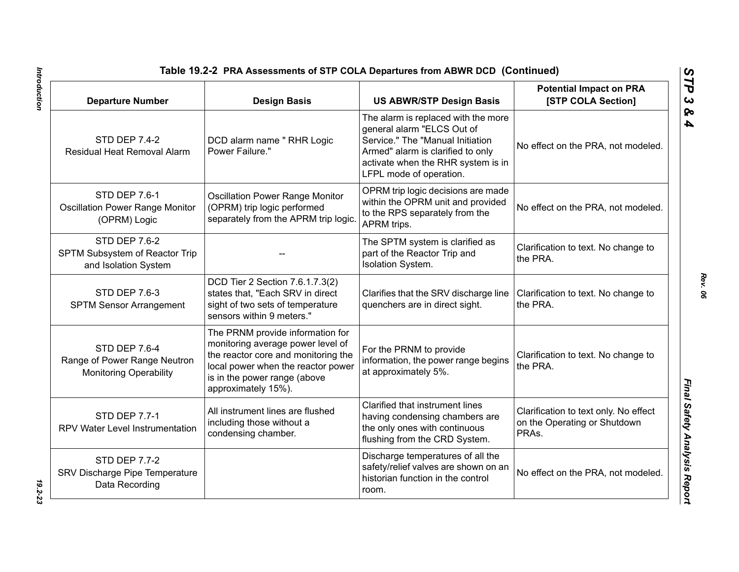| Table 19.2-2 PRA Assessments of STP COLA Departures from ABWR DCD (Continued)  |                                                                                                                                                                                                           |                                                                                                                                                                                                             |                                                                                |
|--------------------------------------------------------------------------------|-----------------------------------------------------------------------------------------------------------------------------------------------------------------------------------------------------------|-------------------------------------------------------------------------------------------------------------------------------------------------------------------------------------------------------------|--------------------------------------------------------------------------------|
| <b>Departure Number</b>                                                        | <b>Design Basis</b>                                                                                                                                                                                       | <b>US ABWR/STP Design Basis</b>                                                                                                                                                                             | <b>Potential Impact on PRA</b><br>[STP COLA Section]                           |
| <b>STD DEP 7.4-2</b><br>Residual Heat Removal Alarm                            | DCD alarm name " RHR Logic<br>Power Failure."                                                                                                                                                             | The alarm is replaced with the more<br>general alarm "ELCS Out of<br>Service." The "Manual Initiation<br>Armed" alarm is clarified to only<br>activate when the RHR system is in<br>LFPL mode of operation. | No effect on the PRA, not modeled.                                             |
| <b>STD DEP 7.6-1</b><br><b>Oscillation Power Range Monitor</b><br>(OPRM) Logic | <b>Oscillation Power Range Monitor</b><br>(OPRM) trip logic performed<br>separately from the APRM trip logic.                                                                                             | OPRM trip logic decisions are made<br>within the OPRM unit and provided<br>to the RPS separately from the<br>APRM trips.                                                                                    | No effect on the PRA, not modeled.                                             |
| <b>STD DEP 7.6-2</b><br>SPTM Subsystem of Reactor Trip<br>and Isolation System |                                                                                                                                                                                                           | The SPTM system is clarified as<br>part of the Reactor Trip and<br>Isolation System.                                                                                                                        | Clarification to text. No change to<br>the PRA.                                |
| <b>STD DEP 7.6-3</b><br><b>SPTM Sensor Arrangement</b>                         | DCD Tier 2 Section 7.6.1.7.3(2)<br>states that, "Each SRV in direct<br>sight of two sets of temperature<br>sensors within 9 meters."                                                                      | Clarifies that the SRV discharge line<br>quenchers are in direct sight.                                                                                                                                     | Clarification to text. No change to<br>the PRA.                                |
| STD DEP 7.6-4<br>Range of Power Range Neutron<br><b>Monitoring Operability</b> | The PRNM provide information for<br>monitoring average power level of<br>the reactor core and monitoring the<br>local power when the reactor power<br>is in the power range (above<br>approximately 15%). | For the PRNM to provide<br>information, the power range begins<br>at approximately 5%.                                                                                                                      | Clarification to text. No change to<br>the PRA.                                |
| <b>STD DEP 7.7-1</b><br>RPV Water Level Instrumentation                        | All instrument lines are flushed<br>including those without a<br>condensing chamber.                                                                                                                      | Clarified that instrument lines<br>having condensing chambers are<br>the only ones with continuous<br>flushing from the CRD System.                                                                         | Clarification to text only. No effect<br>on the Operating or Shutdown<br>PRAs. |
| <b>STD DEP 7.7-2</b><br>SRV Discharge Pipe Temperature<br>Data Recording       |                                                                                                                                                                                                           | Discharge temperatures of all the<br>safety/relief valves are shown on an<br>historian function in the control<br>room.                                                                                     | No effect on the PRA, not modeled.                                             |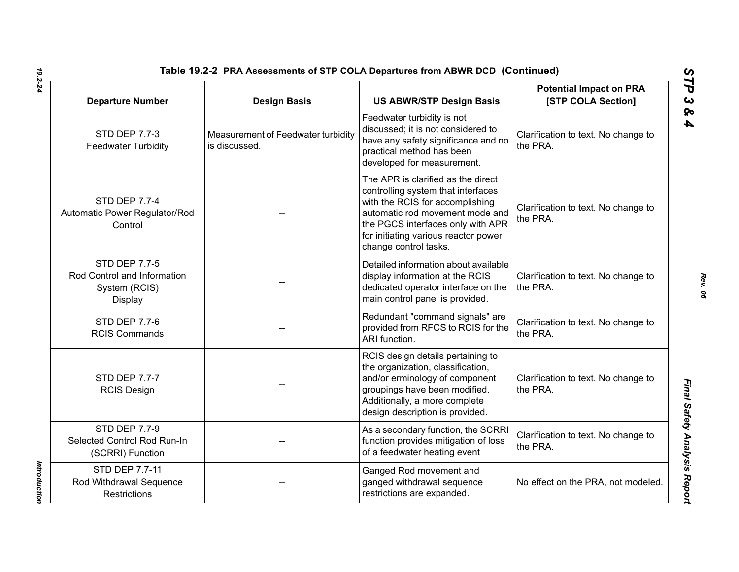| Table 19.2-2 PRA Assessments of STP COLA Departures from ABWR DCD (Continued)   |                                                     |                                                                                                                                                                                                                                                      |                                                      |
|---------------------------------------------------------------------------------|-----------------------------------------------------|------------------------------------------------------------------------------------------------------------------------------------------------------------------------------------------------------------------------------------------------------|------------------------------------------------------|
| <b>Departure Number</b>                                                         | <b>Design Basis</b>                                 | <b>US ABWR/STP Design Basis</b>                                                                                                                                                                                                                      | <b>Potential Impact on PRA</b><br>[STP COLA Section] |
| <b>STD DEP 7.7-3</b><br><b>Feedwater Turbidity</b>                              | Measurement of Feedwater turbidity<br>is discussed. | Feedwater turbidity is not<br>discussed; it is not considered to<br>have any safety significance and no<br>practical method has been<br>developed for measurement.                                                                                   | Clarification to text. No change to<br>the PRA.      |
| <b>STD DEP 7.7-4</b><br>Automatic Power Regulator/Rod<br>Control                |                                                     | The APR is clarified as the direct<br>controlling system that interfaces<br>with the RCIS for accomplishing<br>automatic rod movement mode and<br>the PGCS interfaces only with APR<br>for initiating various reactor power<br>change control tasks. | Clarification to text. No change to<br>the PRA.      |
| <b>STD DEP 7.7-5</b><br>Rod Control and Information<br>System (RCIS)<br>Display |                                                     | Detailed information about available<br>display information at the RCIS<br>dedicated operator interface on the<br>main control panel is provided.                                                                                                    | Clarification to text. No change to<br>the PRA.      |
| <b>STD DEP 7.7-6</b><br><b>RCIS Commands</b>                                    |                                                     | Redundant "command signals" are<br>provided from RFCS to RCIS for the<br>ARI function.                                                                                                                                                               | Clarification to text. No change to<br>the PRA.      |
| <b>STD DEP 7.7-7</b><br><b>RCIS Design</b>                                      |                                                     | RCIS design details pertaining to<br>the organization, classification,<br>and/or erminology of component<br>groupings have been modified.<br>Additionally, a more complete<br>design description is provided.                                        | Clarification to text. No change to<br>the PRA.      |
| <b>STD DEP 7.7-9</b><br>Selected Control Rod Run-In<br>(SCRRI) Function         |                                                     | As a secondary function, the SCRRI<br>function provides mitigation of loss<br>of a feedwater heating event                                                                                                                                           | Clarification to text. No change to<br>the PRA.      |
| STD DEP 7.7-11<br>Rod Withdrawal Sequence<br><b>Restrictions</b>                |                                                     | Ganged Rod movement and<br>ganged withdrawal sequence<br>restrictions are expanded.                                                                                                                                                                  | No effect on the PRA, not modeled.                   |

*Introduction* 

Introduction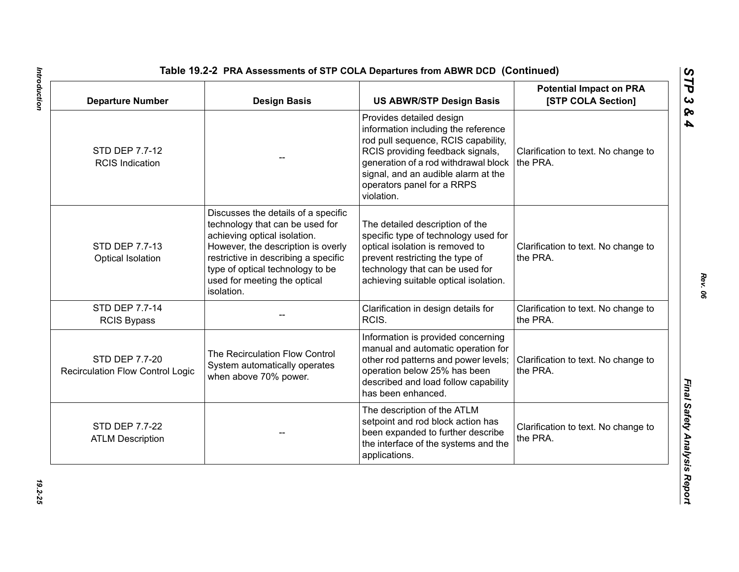| <b>Departure Number</b>                                   | <b>Design Basis</b>                                                                                                                                                                                                                                                    | <b>US ABWR/STP Design Basis</b>                                                                                                                                                                                                                                       | <b>Potential Impact on PRA</b><br>[STP COLA Section] |
|-----------------------------------------------------------|------------------------------------------------------------------------------------------------------------------------------------------------------------------------------------------------------------------------------------------------------------------------|-----------------------------------------------------------------------------------------------------------------------------------------------------------------------------------------------------------------------------------------------------------------------|------------------------------------------------------|
| STD DEP 7.7-12<br><b>RCIS Indication</b>                  |                                                                                                                                                                                                                                                                        | Provides detailed design<br>information including the reference<br>rod pull sequence, RCIS capability,<br>RCIS providing feedback signals,<br>generation of a rod withdrawal block<br>signal, and an audible alarm at the<br>operators panel for a RRPS<br>violation. | Clarification to text. No change to<br>the PRA.      |
| STD DEP 7.7-13<br>Optical Isolation                       | Discusses the details of a specific<br>technology that can be used for<br>achieving optical isolation.<br>However, the description is overly<br>restrictive in describing a specific<br>type of optical technology to be<br>used for meeting the optical<br>isolation. | The detailed description of the<br>specific type of technology used for<br>optical isolation is removed to<br>prevent restricting the type of<br>technology that can be used for<br>achieving suitable optical isolation.                                             | Clarification to text. No change to<br>the PRA.      |
| <b>STD DEP 7.7-14</b><br><b>RCIS Bypass</b>               |                                                                                                                                                                                                                                                                        | Clarification in design details for<br>RCIS.                                                                                                                                                                                                                          | Clarification to text. No change to<br>the PRA.      |
| STD DEP 7.7-20<br><b>Recirculation Flow Control Logic</b> | The Recirculation Flow Control<br>System automatically operates<br>when above 70% power.                                                                                                                                                                               | Information is provided concerning<br>manual and automatic operation for<br>other rod patterns and power levels;<br>operation below 25% has been<br>described and load follow capability<br>has been enhanced.                                                        | Clarification to text. No change to<br>the PRA.      |
| STD DEP 7.7-22<br><b>ATLM Description</b>                 |                                                                                                                                                                                                                                                                        | The description of the ATLM<br>setpoint and rod block action has<br>been expanded to further describe<br>the interface of the systems and the<br>applications.                                                                                                        | Clarification to text. No change to<br>the PRA.      |

Introduction *Introduction 19.2-25*

*Rev. 06*

*STP 3 & 4*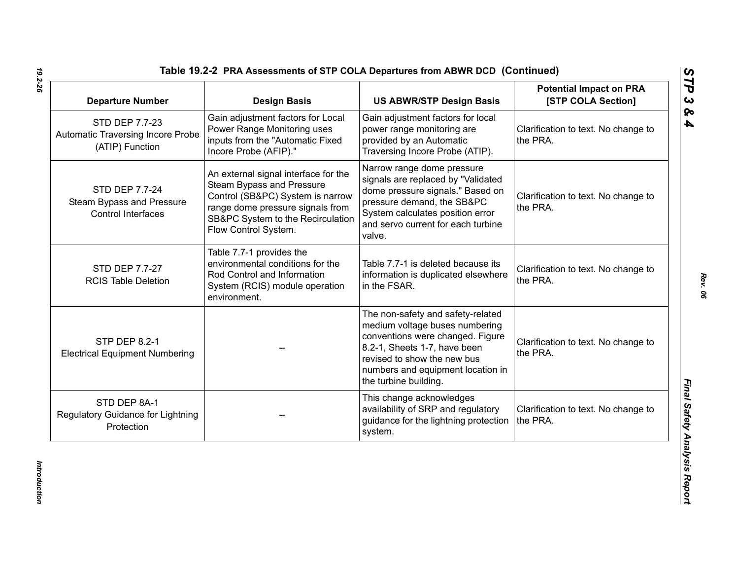| <b>Departure Number</b>                                                | <b>Design Basis</b>                                                                                                                                                                                    | <b>US ABWR/STP Design Basis</b>                                                                                                                                                                                                      | <b>Potential Impact on PRA</b><br>[STP COLA Section] |
|------------------------------------------------------------------------|--------------------------------------------------------------------------------------------------------------------------------------------------------------------------------------------------------|--------------------------------------------------------------------------------------------------------------------------------------------------------------------------------------------------------------------------------------|------------------------------------------------------|
| STD DEP 7.7-23<br>Automatic Traversing Incore Probe<br>(ATIP) Function | Gain adjustment factors for Local<br>Power Range Monitoring uses<br>inputs from the "Automatic Fixed<br>Incore Probe (AFIP)."                                                                          | Gain adjustment factors for local<br>power range monitoring are<br>provided by an Automatic<br>Traversing Incore Probe (ATIP).                                                                                                       | Clarification to text. No change to<br>the PRA.      |
| STD DEP 7.7-24<br>Steam Bypass and Pressure<br>Control Interfaces      | An external signal interface for the<br>Steam Bypass and Pressure<br>Control (SB&PC) System is narrow<br>range dome pressure signals from<br>SB&PC System to the Recirculation<br>Flow Control System. | Narrow range dome pressure<br>signals are replaced by "Validated<br>dome pressure signals." Based on<br>pressure demand, the SB&PC<br>System calculates position error<br>and servo current for each turbine<br>valve.               | Clarification to text. No change to<br>the PRA.      |
| STD DEP 7.7-27<br><b>RCIS Table Deletion</b>                           | Table 7.7-1 provides the<br>environmental conditions for the<br>Rod Control and Information<br>System (RCIS) module operation<br>environment.                                                          | Table 7.7-1 is deleted because its<br>information is duplicated elsewhere<br>in the FSAR.                                                                                                                                            | Clarification to text. No change to<br>the PRA.      |
| <b>STP DEP 8.2-1</b><br><b>Electrical Equipment Numbering</b>          |                                                                                                                                                                                                        | The non-safety and safety-related<br>medium voltage buses numbering<br>conventions were changed. Figure<br>8.2-1, Sheets 1-7, have been<br>revised to show the new bus<br>numbers and equipment location in<br>the turbine building. | Clarification to text. No change to<br>the PRA.      |
| STD DEP 8A-1<br>Regulatory Guidance for Lightning<br>Protection        |                                                                                                                                                                                                        | This change acknowledges<br>availability of SRP and regulatory<br>guidance for the lightning protection<br>system.                                                                                                                   | Clarification to text. No change to<br>the PRA.      |

*Introduction* 

Introduction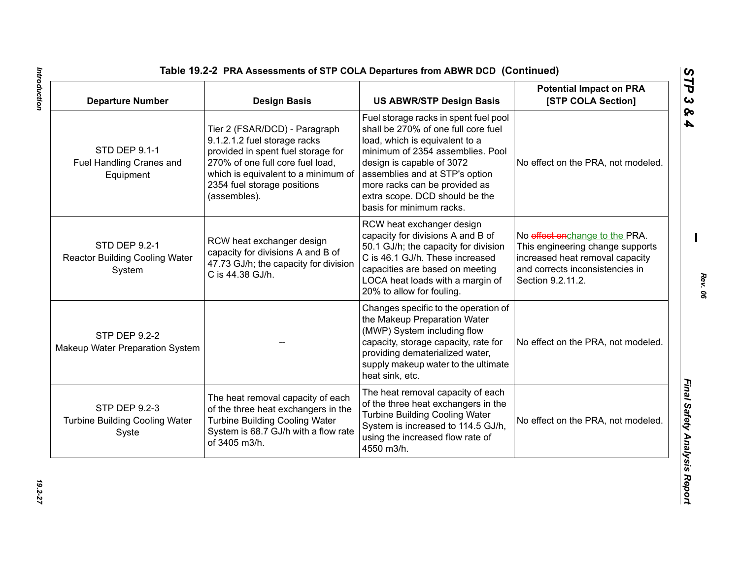| <b>Departure Number</b>                                          | <b>Design Basis</b>                                                                                                                                                                                                           | <b>US ABWR/STP Design Basis</b>                                                                                                                                                                                                                                                                                  | <b>Potential Impact on PRA</b><br>[STP COLA Section]                                                                                                          |
|------------------------------------------------------------------|-------------------------------------------------------------------------------------------------------------------------------------------------------------------------------------------------------------------------------|------------------------------------------------------------------------------------------------------------------------------------------------------------------------------------------------------------------------------------------------------------------------------------------------------------------|---------------------------------------------------------------------------------------------------------------------------------------------------------------|
| <b>STD DEP 9.1-1</b><br>Fuel Handling Cranes and<br>Equipment    | Tier 2 (FSAR/DCD) - Paragraph<br>9.1.2.1.2 fuel storage racks<br>provided in spent fuel storage for<br>270% of one full core fuel load,<br>which is equivalent to a minimum of<br>2354 fuel storage positions<br>(assembles). | Fuel storage racks in spent fuel pool<br>shall be 270% of one full core fuel<br>load, which is equivalent to a<br>minimum of 2354 assemblies. Pool<br>design is capable of 3072<br>assemblies and at STP's option<br>more racks can be provided as<br>extra scope. DCD should be the<br>basis for minimum racks. | No effect on the PRA, not modeled.                                                                                                                            |
| STD DEP 9.2-1<br><b>Reactor Building Cooling Water</b><br>System | RCW heat exchanger design<br>capacity for divisions A and B of<br>47.73 GJ/h; the capacity for division<br>C is 44.38 GJ/h.                                                                                                   | RCW heat exchanger design<br>capacity for divisions A and B of<br>50.1 GJ/h; the capacity for division<br>C is 46.1 GJ/h. These increased<br>capacities are based on meeting<br>LOCA heat loads with a margin of<br>20% to allow for fouling.                                                                    | No effect onchange to the PRA.<br>This engineering change supports<br>increased heat removal capacity<br>and corrects inconsistencies in<br>Section 9.2.11.2. |
| <b>STP DEP 9.2-2</b><br>Makeup Water Preparation System          |                                                                                                                                                                                                                               | Changes specific to the operation of<br>the Makeup Preparation Water<br>(MWP) System including flow<br>capacity, storage capacity, rate for<br>providing dematerialized water,<br>supply makeup water to the ultimate<br>heat sink, etc.                                                                         | No effect on the PRA, not modeled.                                                                                                                            |
| STP DEP 9.2-3<br><b>Turbine Building Cooling Water</b><br>Syste  | The heat removal capacity of each<br>of the three heat exchangers in the<br><b>Turbine Building Cooling Water</b><br>System is 68.7 GJ/h with a flow rate<br>of 3405 m3/h.                                                    | The heat removal capacity of each<br>of the three heat exchangers in the<br><b>Turbine Building Cooling Water</b><br>System is increased to 114.5 GJ/h,<br>using the increased flow rate of<br>4550 m3/h.                                                                                                        | No effect on the PRA, not modeled.                                                                                                                            |

Introduction *Introduction 19.2-27*

*STP 3 & 4*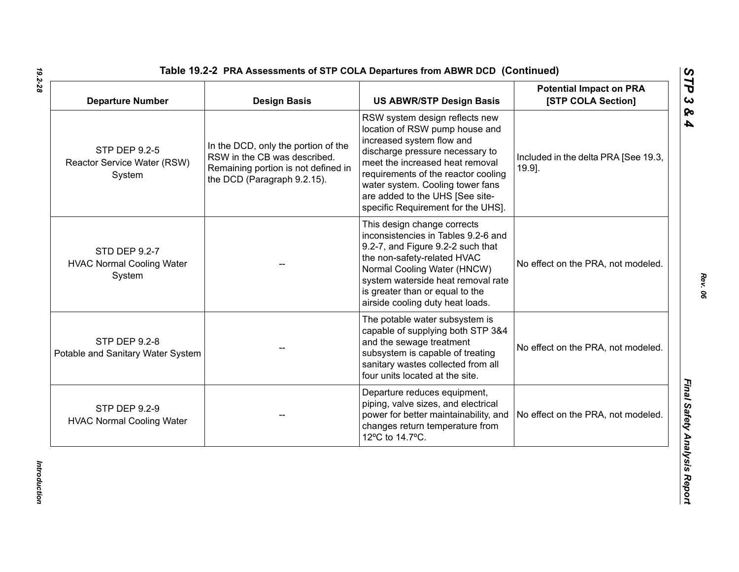| <b>Departure Number</b>                                     | <b>Design Basis</b>                                                                                                                       | <b>US ABWR/STP Design Basis</b>                                                                                                                                                                                                                                                                                         | <b>Potential Impact on PRA</b><br>[STP COLA Section] |
|-------------------------------------------------------------|-------------------------------------------------------------------------------------------------------------------------------------------|-------------------------------------------------------------------------------------------------------------------------------------------------------------------------------------------------------------------------------------------------------------------------------------------------------------------------|------------------------------------------------------|
| STP DEP 9.2-5<br>Reactor Service Water (RSW)<br>System      | In the DCD, only the portion of the<br>RSW in the CB was described.<br>Remaining portion is not defined in<br>the DCD (Paragraph 9.2.15). | RSW system design reflects new<br>location of RSW pump house and<br>increased system flow and<br>discharge pressure necessary to<br>meet the increased heat removal<br>requirements of the reactor cooling<br>water system. Cooling tower fans<br>are added to the UHS [See site-<br>specific Requirement for the UHS]. | Included in the delta PRA [See 19.3,<br>$19.9$ ].    |
| STD DEP 9.2-7<br><b>HVAC Normal Cooling Water</b><br>System |                                                                                                                                           | This design change corrects<br>inconsistencies in Tables 9.2-6 and<br>9.2-7, and Figure 9.2-2 such that<br>the non-safety-related HVAC<br>Normal Cooling Water (HNCW)<br>system waterside heat removal rate<br>is greater than or equal to the<br>airside cooling duty heat loads.                                      | No effect on the PRA, not modeled.                   |
| <b>STP DEP 9.2-8</b><br>Potable and Sanitary Water System   |                                                                                                                                           | The potable water subsystem is<br>capable of supplying both STP 3&4<br>and the sewage treatment<br>subsystem is capable of treating<br>sanitary wastes collected from all<br>four units located at the site.                                                                                                            | No effect on the PRA, not modeled.                   |
| <b>STP DEP 9.2-9</b><br><b>HVAC Normal Cooling Water</b>    |                                                                                                                                           | Departure reduces equipment,<br>piping, valve sizes, and electrical<br>power for better maintainability, and<br>changes return temperature from<br>12°C to 14.7°C.                                                                                                                                                      | No effect on the PRA, not modeled.                   |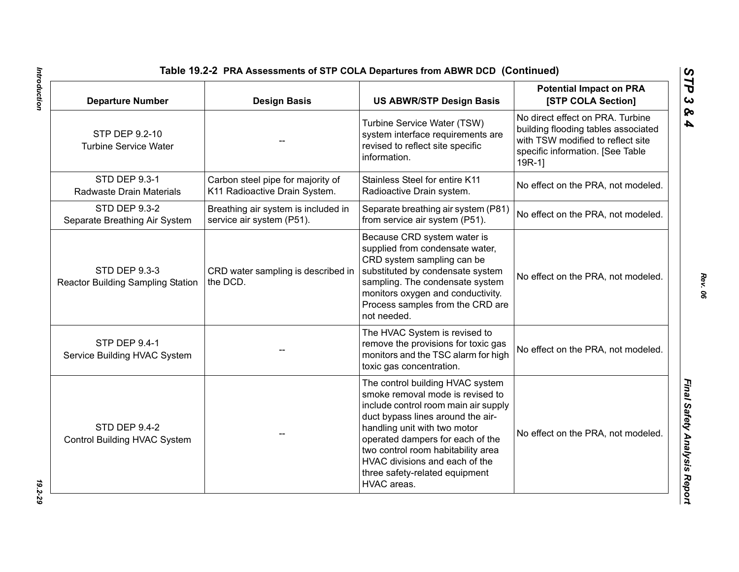| <b>Departure Number</b>                                          | <b>Design Basis</b>                                                | <b>US ABWR/STP Design Basis</b>                                                                                                                                                                                                                                                                                                                | <b>Potential Impact on PRA</b><br>[STP COLA Section]                                                                                                        |
|------------------------------------------------------------------|--------------------------------------------------------------------|------------------------------------------------------------------------------------------------------------------------------------------------------------------------------------------------------------------------------------------------------------------------------------------------------------------------------------------------|-------------------------------------------------------------------------------------------------------------------------------------------------------------|
| STP DEP 9.2-10<br><b>Turbine Service Water</b>                   |                                                                    | Turbine Service Water (TSW)<br>system interface requirements are<br>revised to reflect site specific<br>information.                                                                                                                                                                                                                           | No direct effect on PRA. Turbine<br>building flooding tables associated<br>with TSW modified to reflect site<br>specific information. [See Table<br>$19R-1$ |
| STD DEP 9.3-1<br>Radwaste Drain Materials                        | Carbon steel pipe for majority of<br>K11 Radioactive Drain System. | Stainless Steel for entire K11<br>Radioactive Drain system.                                                                                                                                                                                                                                                                                    | No effect on the PRA, not modeled.                                                                                                                          |
| <b>STD DEP 9.3-2</b><br>Separate Breathing Air System            | Breathing air system is included in<br>service air system (P51).   | Separate breathing air system (P81)<br>from service air system (P51).                                                                                                                                                                                                                                                                          | No effect on the PRA, not modeled.                                                                                                                          |
| <b>STD DEP 9.3-3</b><br><b>Reactor Building Sampling Station</b> | CRD water sampling is described in<br>the DCD.                     | Because CRD system water is<br>supplied from condensate water,<br>CRD system sampling can be<br>substituted by condensate system<br>sampling. The condensate system<br>monitors oxygen and conductivity.<br>Process samples from the CRD are<br>not needed.                                                                                    | No effect on the PRA, not modeled.                                                                                                                          |
| <b>STP DEP 9.4-1</b><br>Service Building HVAC System             |                                                                    | The HVAC System is revised to<br>remove the provisions for toxic gas<br>monitors and the TSC alarm for high<br>toxic gas concentration.                                                                                                                                                                                                        | No effect on the PRA, not modeled.                                                                                                                          |
| <b>STD DEP 9.4-2</b><br>Control Building HVAC System             |                                                                    | The control building HVAC system<br>smoke removal mode is revised to<br>include control room main air supply<br>duct bypass lines around the air-<br>handling unit with two motor<br>operated dampers for each of the<br>two control room habitability area<br>HVAC divisions and each of the<br>three safety-related equipment<br>HVAC areas. | No effect on the PRA, not modeled.                                                                                                                          |

Introduction *Introduction 19.2-29*

*Rev. 06*

*STP 3 & 4*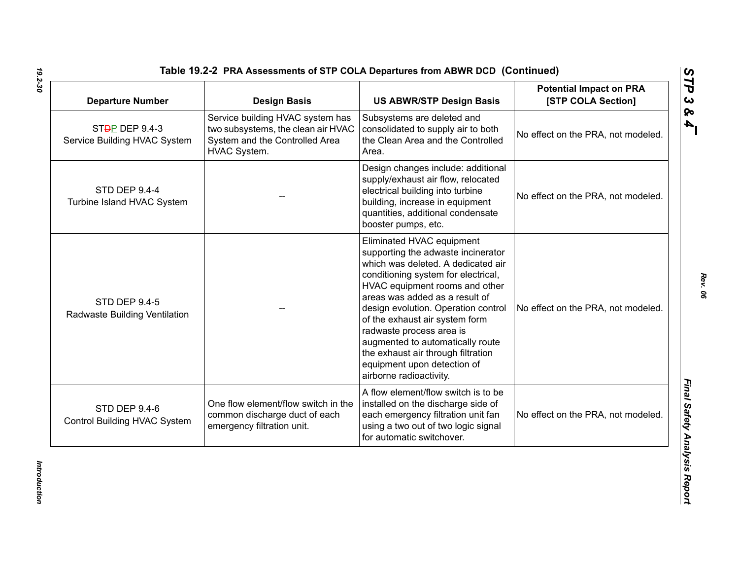| <b>Departure Number</b>                                     | <b>Design Basis</b>                                                                                                      | <b>US ABWR/STP Design Basis</b>                                                                                                                                                                                                                                                                                                                                                                                                                           | <b>Potential Impact on PRA</b><br>[STP COLA Section] |
|-------------------------------------------------------------|--------------------------------------------------------------------------------------------------------------------------|-----------------------------------------------------------------------------------------------------------------------------------------------------------------------------------------------------------------------------------------------------------------------------------------------------------------------------------------------------------------------------------------------------------------------------------------------------------|------------------------------------------------------|
| ST <del>D</del> P DEP 9.4-3<br>Service Building HVAC System | Service building HVAC system has<br>two subsystems, the clean air HVAC<br>System and the Controlled Area<br>HVAC System. | Subsystems are deleted and<br>consolidated to supply air to both<br>the Clean Area and the Controlled<br>Area.                                                                                                                                                                                                                                                                                                                                            | No effect on the PRA, not modeled.                   |
| <b>STD DEP 9.4-4</b><br>Turbine Island HVAC System          |                                                                                                                          | Design changes include: additional<br>supply/exhaust air flow, relocated<br>electrical building into turbine<br>building, increase in equipment<br>quantities, additional condensate<br>booster pumps, etc.                                                                                                                                                                                                                                               | No effect on the PRA, not modeled.                   |
| <b>STD DEP 9.4-5</b><br>Radwaste Building Ventilation       |                                                                                                                          | Eliminated HVAC equipment<br>supporting the adwaste incinerator<br>which was deleted. A dedicated air<br>conditioning system for electrical,<br>HVAC equipment rooms and other<br>areas was added as a result of<br>design evolution. Operation control<br>of the exhaust air system form<br>radwaste process area is<br>augmented to automatically route<br>the exhaust air through filtration<br>equipment upon detection of<br>airborne radioactivity. | No effect on the PRA, not modeled.                   |
| <b>STD DEP 9.4-6</b><br><b>Control Building HVAC System</b> | One flow element/flow switch in the<br>common discharge duct of each<br>emergency filtration unit.                       | A flow element/flow switch is to be<br>installed on the discharge side of<br>each emergency filtration unit fan<br>using a two out of two logic signal<br>for automatic switchover.                                                                                                                                                                                                                                                                       | No effect on the PRA, not modeled.                   |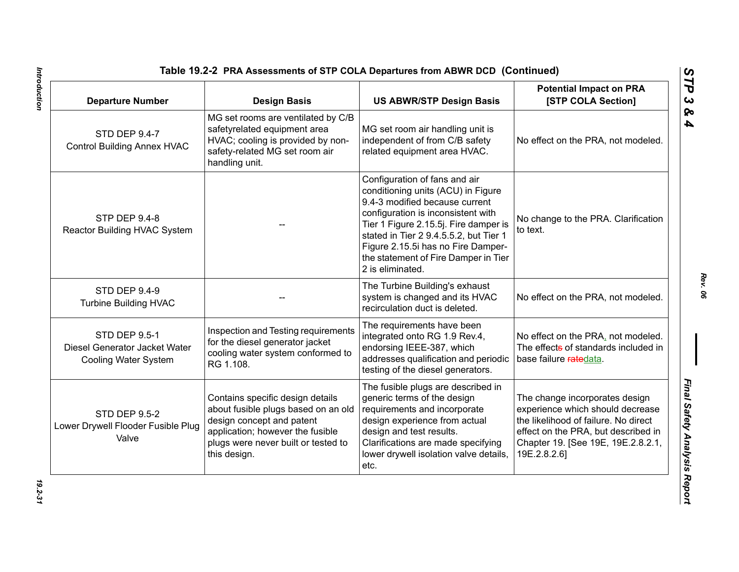| <b>Departure Number</b>                                                              | <b>Design Basis</b>                                                                                                                                                                             | <b>US ABWR/STP Design Basis</b>                                                                                                                                                                                                                                                                                                  | <b>Potential Impact on PRA</b><br>[STP COLA Section]                                                                                                                                                    |
|--------------------------------------------------------------------------------------|-------------------------------------------------------------------------------------------------------------------------------------------------------------------------------------------------|----------------------------------------------------------------------------------------------------------------------------------------------------------------------------------------------------------------------------------------------------------------------------------------------------------------------------------|---------------------------------------------------------------------------------------------------------------------------------------------------------------------------------------------------------|
| STD DEP 9.4-7<br><b>Control Building Annex HVAC</b>                                  | MG set rooms are ventilated by C/B<br>safetyrelated equipment area<br>HVAC; cooling is provided by non-<br>safety-related MG set room air<br>handling unit.                                     | MG set room air handling unit is<br>independent of from C/B safety<br>related equipment area HVAC.                                                                                                                                                                                                                               | No effect on the PRA, not modeled.                                                                                                                                                                      |
| <b>STP DEP 9.4-8</b><br>Reactor Building HVAC System                                 |                                                                                                                                                                                                 | Configuration of fans and air<br>conditioning units (ACU) in Figure<br>9.4-3 modified because current<br>configuration is inconsistent with<br>Tier 1 Figure 2.15.5j. Fire damper is<br>stated in Tier 2 9.4.5.5.2, but Tier 1<br>Figure 2.15.5i has no Fire Damper-<br>the statement of Fire Damper in Tier<br>2 is eliminated. | No change to the PRA. Clarification<br>to text.                                                                                                                                                         |
| <b>STD DEP 9.4-9</b><br><b>Turbine Building HVAC</b>                                 |                                                                                                                                                                                                 | The Turbine Building's exhaust<br>system is changed and its HVAC<br>recirculation duct is deleted.                                                                                                                                                                                                                               | No effect on the PRA, not modeled.                                                                                                                                                                      |
| <b>STD DEP 9.5-1</b><br>Diesel Generator Jacket Water<br><b>Cooling Water System</b> | Inspection and Testing requirements<br>for the diesel generator jacket<br>cooling water system conformed to<br>RG 1.108.                                                                        | The requirements have been<br>integrated onto RG 1.9 Rev.4,<br>endorsing IEEE-387, which<br>addresses qualification and periodic<br>testing of the diesel generators.                                                                                                                                                            | No effect on the PRA, not modeled.<br>The effects of standards included in<br>base failure ratedata.                                                                                                    |
| <b>STD DEP 9.5-2</b><br>Lower Drywell Flooder Fusible Plug<br>Valve                  | Contains specific design details<br>about fusible plugs based on an old<br>design concept and patent<br>application; however the fusible<br>plugs were never built or tested to<br>this design. | The fusible plugs are described in<br>generic terms of the design<br>requirements and incorporate<br>design experience from actual<br>design and test results.<br>Clarifications are made specifying<br>lower drywell isolation valve details,<br>etc.                                                                           | The change incorporates design<br>experience which should decrease<br>the likelihood of failure. No direct<br>effect on the PRA, but described in<br>Chapter 19. [See 19E, 19E.2.8.2.1,<br>19E.2.8.2.6] |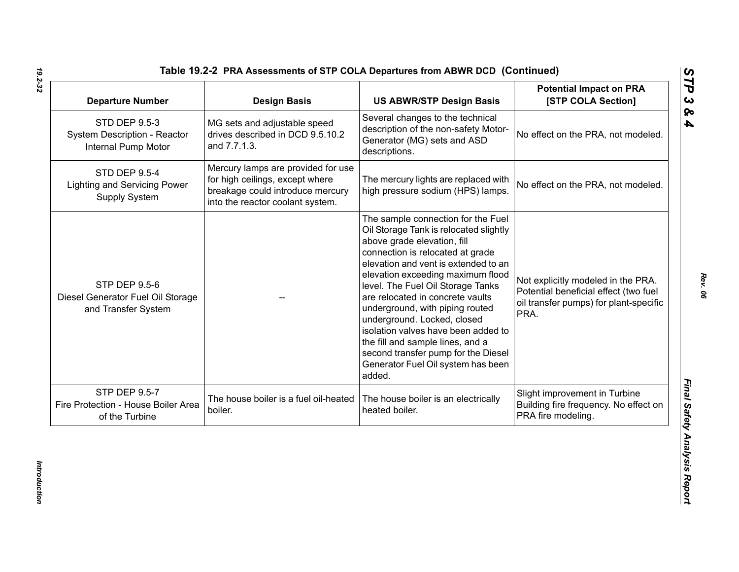| <b>Departure Number</b>                                                          | <b>Design Basis</b>                                                                                                                           | <b>US ABWR/STP Design Basis</b>                                                                                                                                                                                                                                                                                                                                                                                                                                                                                                           | <b>Potential Impact on PRA</b><br>[STP COLA Section]                                                                          |
|----------------------------------------------------------------------------------|-----------------------------------------------------------------------------------------------------------------------------------------------|-------------------------------------------------------------------------------------------------------------------------------------------------------------------------------------------------------------------------------------------------------------------------------------------------------------------------------------------------------------------------------------------------------------------------------------------------------------------------------------------------------------------------------------------|-------------------------------------------------------------------------------------------------------------------------------|
| <b>STD DEP 9.5-3</b><br>System Description - Reactor<br>Internal Pump Motor      | MG sets and adjustable speed<br>drives described in DCD 9.5.10.2<br>and 7.7.1.3.                                                              | Several changes to the technical<br>description of the non-safety Motor-<br>Generator (MG) sets and ASD<br>descriptions.                                                                                                                                                                                                                                                                                                                                                                                                                  | No effect on the PRA, not modeled.                                                                                            |
| <b>STD DEP 9.5-4</b><br><b>Lighting and Servicing Power</b><br>Supply System     | Mercury lamps are provided for use<br>for high ceilings, except where<br>breakage could introduce mercury<br>into the reactor coolant system. | The mercury lights are replaced with<br>high pressure sodium (HPS) lamps.                                                                                                                                                                                                                                                                                                                                                                                                                                                                 | No effect on the PRA, not modeled.                                                                                            |
| <b>STP DEP 9.5-6</b><br>Diesel Generator Fuel Oil Storage<br>and Transfer System |                                                                                                                                               | The sample connection for the Fuel<br>Oil Storage Tank is relocated slightly<br>above grade elevation, fill<br>connection is relocated at grade<br>elevation and vent is extended to an<br>elevation exceeding maximum flood<br>level. The Fuel Oil Storage Tanks<br>are relocated in concrete vaults<br>underground, with piping routed<br>underground. Locked, closed<br>isolation valves have been added to<br>the fill and sample lines, and a<br>second transfer pump for the Diesel<br>Generator Fuel Oil system has been<br>added. | Not explicitly modeled in the PRA.<br>Potential beneficial effect (two fuel<br>oil transfer pumps) for plant-specific<br>PRA. |
| <b>STP DEP 9.5-7</b><br>Fire Protection - House Boiler Area<br>of the Turbine    | The house boiler is a fuel oil-heated<br>boiler.                                                                                              | The house boiler is an electrically<br>heated boiler.                                                                                                                                                                                                                                                                                                                                                                                                                                                                                     | Slight improvement in Turbine<br>Building fire frequency. No effect on<br>PRA fire modeling.                                  |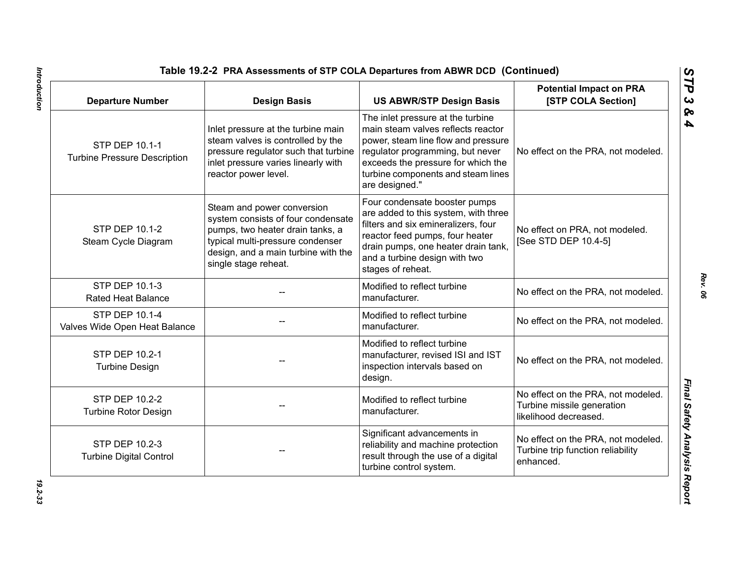| <b>Departure Number</b>                                 | <b>Design Basis</b>                                                                                                                                                                                     | <b>US ABWR/STP Design Basis</b>                                                                                                                                                                                                                  | <b>Potential Impact on PRA</b><br>[STP COLA Section]                                      |
|---------------------------------------------------------|---------------------------------------------------------------------------------------------------------------------------------------------------------------------------------------------------------|--------------------------------------------------------------------------------------------------------------------------------------------------------------------------------------------------------------------------------------------------|-------------------------------------------------------------------------------------------|
| STP DEP 10.1-1<br><b>Turbine Pressure Description</b>   | Inlet pressure at the turbine main<br>steam valves is controlled by the<br>pressure regulator such that turbine<br>inlet pressure varies linearly with<br>reactor power level.                          | The inlet pressure at the turbine<br>main steam valves reflects reactor<br>power, steam line flow and pressure<br>regulator programming, but never<br>exceeds the pressure for which the<br>turbine components and steam lines<br>are designed." | No effect on the PRA, not modeled.                                                        |
| STP DEP 10.1-2<br>Steam Cycle Diagram                   | Steam and power conversion<br>system consists of four condensate<br>pumps, two heater drain tanks, a<br>typical multi-pressure condenser<br>design, and a main turbine with the<br>single stage reheat. | Four condensate booster pumps<br>are added to this system, with three<br>filters and six emineralizers, four<br>reactor feed pumps, four heater<br>drain pumps, one heater drain tank,<br>and a turbine design with two<br>stages of reheat.     | No effect on PRA, not modeled.<br>[See STD DEP 10.4-5]                                    |
| STP DEP 10.1-3<br><b>Rated Heat Balance</b>             |                                                                                                                                                                                                         | Modified to reflect turbine<br>manufacturer.                                                                                                                                                                                                     | No effect on the PRA, not modeled.                                                        |
| STP DEP 10.1-4<br>Valves Wide Open Heat Balance         |                                                                                                                                                                                                         | Modified to reflect turbine<br>manufacturer.                                                                                                                                                                                                     | No effect on the PRA, not modeled.                                                        |
| STP DEP 10.2-1<br><b>Turbine Design</b>                 |                                                                                                                                                                                                         | Modified to reflect turbine<br>manufacturer, revised ISI and IST<br>inspection intervals based on<br>design.                                                                                                                                     | No effect on the PRA, not modeled.                                                        |
| STP DEP 10.2-2<br><b>Turbine Rotor Design</b>           |                                                                                                                                                                                                         | Modified to reflect turbine<br>manufacturer.                                                                                                                                                                                                     | No effect on the PRA, not modeled.<br>Turbine missile generation<br>likelihood decreased. |
| <b>STP DEP 10.2-3</b><br><b>Turbine Digital Control</b> |                                                                                                                                                                                                         | Significant advancements in<br>reliability and machine protection<br>result through the use of a digital<br>turbine control system.                                                                                                              | No effect on the PRA, not modeled.<br>Turbine trip function reliability<br>enhanced.      |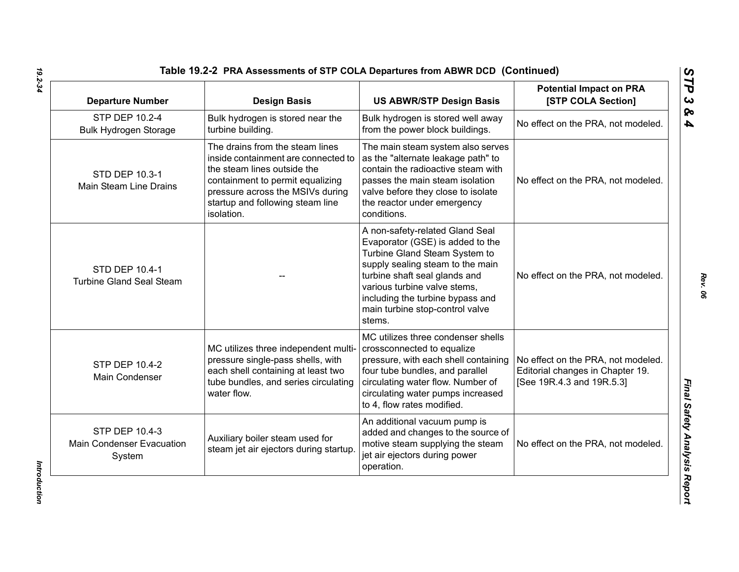| <b>Departure Number</b>                                      | <b>Design Basis</b>                                                                                                                                                                                                             | <b>US ABWR/STP Design Basis</b>                                                                                                                                                                                                                                                            | <b>Potential Impact on PRA</b><br>[STP COLA Section]                                                |
|--------------------------------------------------------------|---------------------------------------------------------------------------------------------------------------------------------------------------------------------------------------------------------------------------------|--------------------------------------------------------------------------------------------------------------------------------------------------------------------------------------------------------------------------------------------------------------------------------------------|-----------------------------------------------------------------------------------------------------|
| STP DEP 10.2-4<br><b>Bulk Hydrogen Storage</b>               | Bulk hydrogen is stored near the<br>turbine building.                                                                                                                                                                           | Bulk hydrogen is stored well away<br>from the power block buildings.                                                                                                                                                                                                                       | No effect on the PRA, not modeled.                                                                  |
| STD DEP 10.3-1<br>Main Steam Line Drains                     | The drains from the steam lines<br>inside containment are connected to<br>the steam lines outside the<br>containment to permit equalizing<br>pressure across the MSIVs during<br>startup and following steam line<br>isolation. | The main steam system also serves<br>as the "alternate leakage path" to<br>contain the radioactive steam with<br>passes the main steam isolation<br>valve before they close to isolate<br>the reactor under emergency<br>conditions.                                                       | No effect on the PRA, not modeled.                                                                  |
| <b>STD DEP 10.4-1</b><br><b>Turbine Gland Seal Steam</b>     |                                                                                                                                                                                                                                 | A non-safety-related Gland Seal<br>Evaporator (GSE) is added to the<br>Turbine Gland Steam System to<br>supply sealing steam to the main<br>turbine shaft seal glands and<br>various turbine valve stems,<br>including the turbine bypass and<br>main turbine stop-control valve<br>stems. | No effect on the PRA, not modeled.                                                                  |
| <b>STP DEP 10.4-2</b><br>Main Condenser                      | MC utilizes three independent multi-<br>pressure single-pass shells, with<br>each shell containing at least two<br>tube bundles, and series circulating<br>water flow.                                                          | MC utilizes three condenser shells<br>crossconnected to equalize<br>pressure, with each shell containing<br>four tube bundles, and parallel<br>circulating water flow. Number of<br>circulating water pumps increased<br>to 4, flow rates modified.                                        | No effect on the PRA, not modeled.<br>Editorial changes in Chapter 19.<br>[See 19R.4.3 and 19R.5.3] |
| STP DEP 10.4-3<br><b>Main Condenser Evacuation</b><br>System | Auxiliary boiler steam used for<br>steam jet air ejectors during startup                                                                                                                                                        | An additional vacuum pump is<br>added and changes to the source of<br>motive steam supplying the steam<br>jet air ejectors during power<br>operation.                                                                                                                                      | No effect on the PRA, not modeled.                                                                  |

Introduction *Introduction*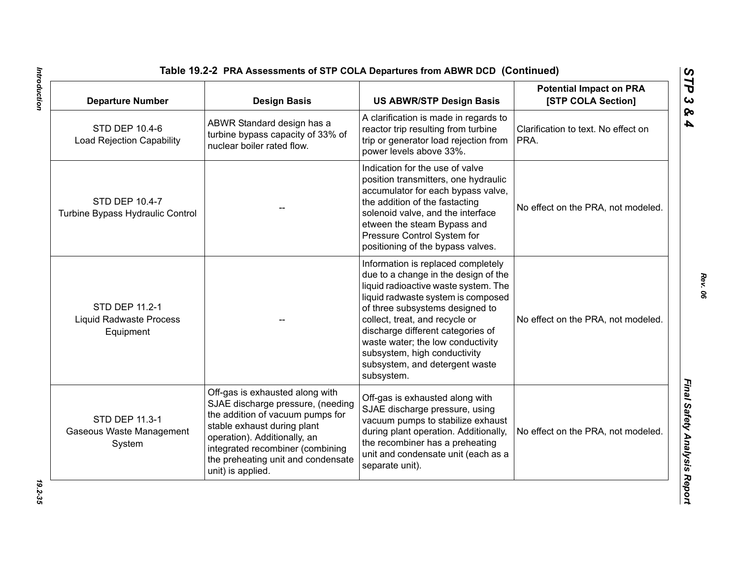| <b>Departure Number</b>                                       | <b>Design Basis</b>                                                                                                                                                                                                                                                    | <b>US ABWR/STP Design Basis</b>                                                                                                                                                                                                                                                                                                                                                         | <b>Potential Impact on PRA</b><br>[STP COLA Section] |
|---------------------------------------------------------------|------------------------------------------------------------------------------------------------------------------------------------------------------------------------------------------------------------------------------------------------------------------------|-----------------------------------------------------------------------------------------------------------------------------------------------------------------------------------------------------------------------------------------------------------------------------------------------------------------------------------------------------------------------------------------|------------------------------------------------------|
| STD DEP 10.4-6<br><b>Load Rejection Capability</b>            | ABWR Standard design has a<br>turbine bypass capacity of 33% of<br>nuclear boiler rated flow.                                                                                                                                                                          | A clarification is made in regards to<br>reactor trip resulting from turbine<br>trip or generator load rejection from<br>power levels above 33%.                                                                                                                                                                                                                                        | Clarification to text. No effect on<br>PRA.          |
| STD DEP 10.4-7<br>Turbine Bypass Hydraulic Control            |                                                                                                                                                                                                                                                                        | Indication for the use of valve<br>position transmitters, one hydraulic<br>accumulator for each bypass valve,<br>the addition of the fastacting<br>solenoid valve, and the interface<br>etween the steam Bypass and<br>Pressure Control System for<br>positioning of the bypass valves.                                                                                                 | No effect on the PRA, not modeled.                   |
| STD DEP 11.2-1<br><b>Liquid Radwaste Process</b><br>Equipment |                                                                                                                                                                                                                                                                        | Information is replaced completely<br>due to a change in the design of the<br>liquid radioactive waste system. The<br>liquid radwaste system is composed<br>of three subsystems designed to<br>collect, treat, and recycle or<br>discharge different categories of<br>waste water; the low conductivity<br>subsystem, high conductivity<br>subsystem, and detergent waste<br>subsystem. | No effect on the PRA, not modeled.                   |
| STD DEP 11.3-1<br>Gaseous Waste Management<br>System          | Off-gas is exhausted along with<br>SJAE discharge pressure, (needing<br>the addition of vacuum pumps for<br>stable exhaust during plant<br>operation). Additionally, an<br>integrated recombiner (combining<br>the preheating unit and condensate<br>unit) is applied. | Off-gas is exhausted along with<br>SJAE discharge pressure, using<br>vacuum pumps to stabilize exhaust<br>during plant operation. Additionally,<br>the recombiner has a preheating<br>unit and condensate unit (each as a<br>separate unit).                                                                                                                                            | No effect on the PRA, not modeled.                   |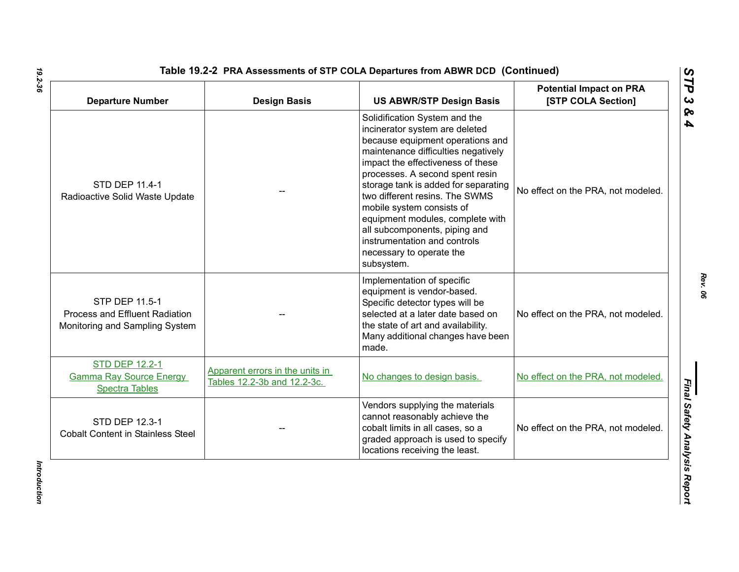| <b>Departure Number</b>                                                            | <b>Design Basis</b>                                            | <b>US ABWR/STP Design Basis</b>                                                                                                                                                                                                                                                                                                                                                                                                                                          | <b>Potential Impact on PRA</b><br>[STP COLA Section] |
|------------------------------------------------------------------------------------|----------------------------------------------------------------|--------------------------------------------------------------------------------------------------------------------------------------------------------------------------------------------------------------------------------------------------------------------------------------------------------------------------------------------------------------------------------------------------------------------------------------------------------------------------|------------------------------------------------------|
| STD DEP 11.4-1<br>Radioactive Solid Waste Update                                   |                                                                | Solidification System and the<br>incinerator system are deleted<br>because equipment operations and<br>maintenance difficulties negatively<br>impact the effectiveness of these<br>processes. A second spent resin<br>storage tank is added for separating<br>two different resins. The SWMS<br>mobile system consists of<br>equipment modules, complete with<br>all subcomponents, piping and<br>instrumentation and controls<br>necessary to operate the<br>subsystem. | No effect on the PRA, not modeled.                   |
| STP DEP 11.5-1<br>Process and Effluent Radiation<br>Monitoring and Sampling System |                                                                | Implementation of specific<br>equipment is vendor-based.<br>Specific detector types will be<br>selected at a later date based on<br>the state of art and availability.<br>Many additional changes have been<br>made.                                                                                                                                                                                                                                                     | No effect on the PRA, not modeled.                   |
| <b>STD DEP 12.2-1</b><br><b>Gamma Ray Source Energy</b><br><b>Spectra Tables</b>   | Apparent errors in the units in<br>Tables 12.2-3b and 12.2-3c. | No changes to design basis.                                                                                                                                                                                                                                                                                                                                                                                                                                              | No effect on the PRA, not modeled.                   |
| <b>STD DEP 12.3-1</b><br><b>Cobalt Content in Stainless Steel</b>                  |                                                                | Vendors supplying the materials<br>cannot reasonably achieve the<br>cobalt limits in all cases, so a<br>graded approach is used to specify<br>locations receiving the least.                                                                                                                                                                                                                                                                                             | No effect on the PRA, not modeled.                   |

Introduction *Introduction*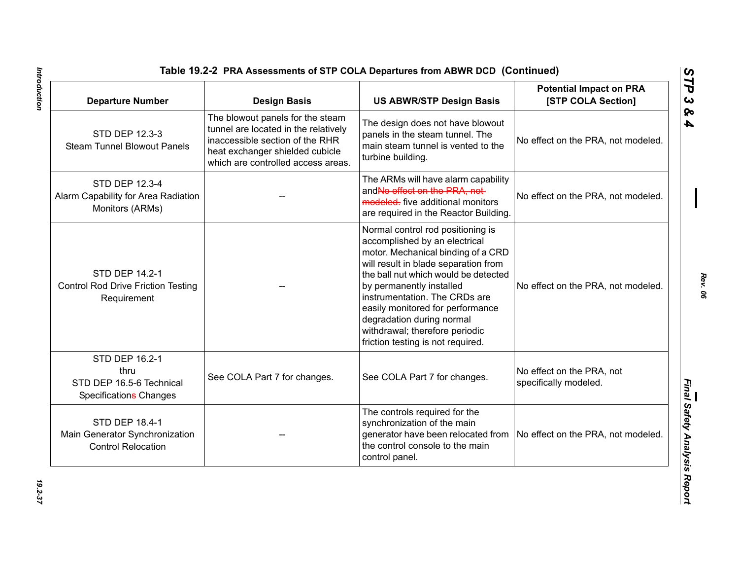| <b>Departure Number</b>                                                              | <b>Design Basis</b>                                                                                                                                                                  | <b>US ABWR/STP Design Basis</b>                                                                                                                                                                                                                                                                                                                                                               | <b>Potential Impact on PRA</b><br>[STP COLA Section] |
|--------------------------------------------------------------------------------------|--------------------------------------------------------------------------------------------------------------------------------------------------------------------------------------|-----------------------------------------------------------------------------------------------------------------------------------------------------------------------------------------------------------------------------------------------------------------------------------------------------------------------------------------------------------------------------------------------|------------------------------------------------------|
| STD DEP 12.3-3<br><b>Steam Tunnel Blowout Panels</b>                                 | The blowout panels for the steam<br>tunnel are located in the relatively<br>inaccessible section of the RHR<br>heat exchanger shielded cubicle<br>which are controlled access areas. | The design does not have blowout<br>panels in the steam tunnel. The<br>main steam tunnel is vented to the<br>turbine building.                                                                                                                                                                                                                                                                | No effect on the PRA, not modeled.                   |
| <b>STD DEP 12.3-4</b><br>Alarm Capability for Area Radiation<br>Monitors (ARMs)      |                                                                                                                                                                                      | The ARMs will have alarm capability<br>and No effect on the PRA, not-<br>modeled. five additional monitors<br>are required in the Reactor Building.                                                                                                                                                                                                                                           | No effect on the PRA, not modeled.                   |
| STD DEP 14.2-1<br><b>Control Rod Drive Friction Testing</b><br>Requirement           |                                                                                                                                                                                      | Normal control rod positioning is<br>accomplished by an electrical<br>motor. Mechanical binding of a CRD<br>will result in blade separation from<br>the ball nut which would be detected<br>by permanently installed<br>instrumentation. The CRDs are<br>easily monitored for performance<br>degradation during normal<br>withdrawal; therefore periodic<br>friction testing is not required. | No effect on the PRA, not modeled.                   |
| STD DEP 16.2-1<br>thru<br>STD DEP 16.5-6 Technical<br>Specifications Changes         | See COLA Part 7 for changes.                                                                                                                                                         | See COLA Part 7 for changes.                                                                                                                                                                                                                                                                                                                                                                  | No effect on the PRA, not<br>specifically modeled.   |
| <b>STD DEP 18.4-1</b><br>Main Generator Synchronization<br><b>Control Relocation</b> |                                                                                                                                                                                      | The controls required for the<br>synchronization of the main<br>generator have been relocated from<br>the control console to the main<br>control panel.                                                                                                                                                                                                                                       | No effect on the PRA, not modeled.                   |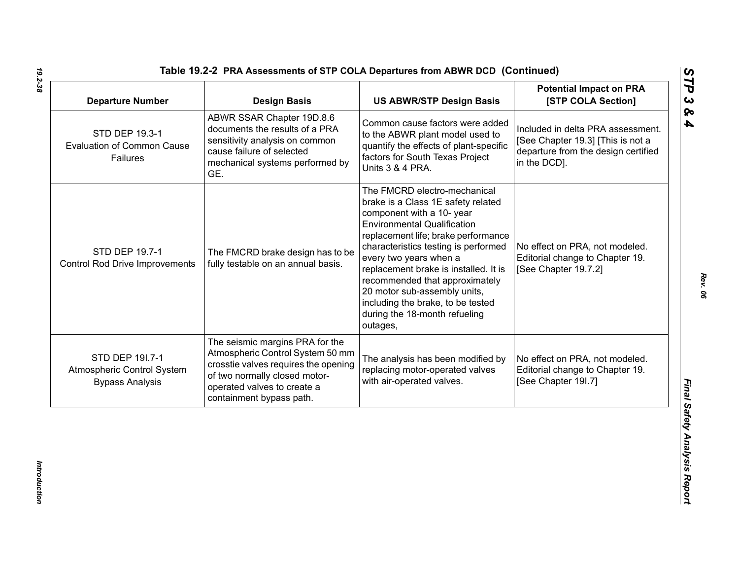| <b>Departure Number</b>                                                 | <b>Design Basis</b>                                                                                                                                                                                     | <b>US ABWR/STP Design Basis</b>                                                                                                                                                                                                                                                                                                                                                                                                             | <b>Potential Impact on PRA</b><br>[STP COLA Section]                                                                          |
|-------------------------------------------------------------------------|---------------------------------------------------------------------------------------------------------------------------------------------------------------------------------------------------------|---------------------------------------------------------------------------------------------------------------------------------------------------------------------------------------------------------------------------------------------------------------------------------------------------------------------------------------------------------------------------------------------------------------------------------------------|-------------------------------------------------------------------------------------------------------------------------------|
| STD DEP 19.3-1<br><b>Evaluation of Common Cause</b><br>Failures         | ABWR SSAR Chapter 19D.8.6<br>documents the results of a PRA<br>sensitivity analysis on common<br>cause failure of selected<br>mechanical systems performed by<br>GE.                                    | Common cause factors were added<br>to the ABWR plant model used to<br>quantify the effects of plant-specific<br>factors for South Texas Project<br>Units 3 & 4 PRA.                                                                                                                                                                                                                                                                         | Included in delta PRA assessment.<br>[See Chapter 19.3] [This is not a<br>departure from the design certified<br>in the DCD]. |
| STD DEP 19.7-1<br><b>Control Rod Drive Improvements</b>                 | The FMCRD brake design has to be<br>fully testable on an annual basis.                                                                                                                                  | The FMCRD electro-mechanical<br>brake is a Class 1E safety related<br>component with a 10- year<br><b>Environmental Qualification</b><br>replacement life; brake performance<br>characteristics testing is performed<br>every two years when a<br>replacement brake is installed. It is<br>recommended that approximately<br>20 motor sub-assembly units,<br>including the brake, to be tested<br>during the 18-month refueling<br>outages, | No effect on PRA, not modeled.<br>Editorial change to Chapter 19.<br>[See Chapter 19.7.2]                                     |
| STD DEP 191.7-1<br>Atmospheric Control System<br><b>Bypass Analysis</b> | The seismic margins PRA for the<br>Atmospheric Control System 50 mm<br>crosstie valves requires the opening<br>of two normally closed motor-<br>operated valves to create a<br>containment bypass path. | The analysis has been modified by<br>replacing motor-operated valves<br>with air-operated valves.                                                                                                                                                                                                                                                                                                                                           | No effect on PRA, not modeled.<br>Editorial change to Chapter 19.<br>[See Chapter 19I.7]                                      |

Introduction *Introduction*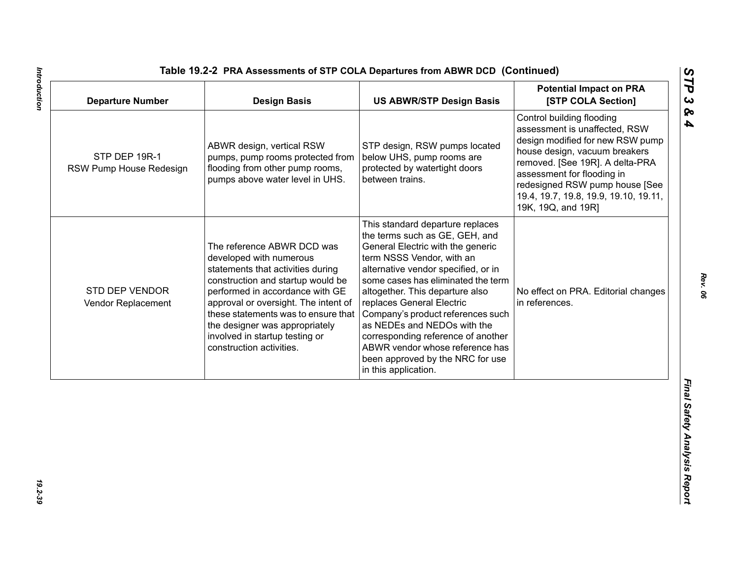| <b>Departure Number</b>                  | <b>Design Basis</b>                                                                                                                                                                                                                                                                                                                               | <b>US ABWR/STP Design Basis</b>                                                                                                                                                                                                                                                                                                                                                                                                                                                            | <b>Potential Impact on PRA</b><br>[STP COLA Section]                                                                                                                                                                                                                                              |
|------------------------------------------|---------------------------------------------------------------------------------------------------------------------------------------------------------------------------------------------------------------------------------------------------------------------------------------------------------------------------------------------------|--------------------------------------------------------------------------------------------------------------------------------------------------------------------------------------------------------------------------------------------------------------------------------------------------------------------------------------------------------------------------------------------------------------------------------------------------------------------------------------------|---------------------------------------------------------------------------------------------------------------------------------------------------------------------------------------------------------------------------------------------------------------------------------------------------|
| STP DEP 19R-1<br>RSW Pump House Redesign | ABWR design, vertical RSW<br>pumps, pump rooms protected from<br>flooding from other pump rooms,<br>pumps above water level in UHS.                                                                                                                                                                                                               | STP design, RSW pumps located<br>below UHS, pump rooms are<br>protected by watertight doors<br>between trains.                                                                                                                                                                                                                                                                                                                                                                             | Control building flooding<br>assessment is unaffected, RSW<br>design modified for new RSW pump<br>house design, vacuum breakers<br>removed. [See 19R]. A delta-PRA<br>assessment for flooding in<br>redesigned RSW pump house [See<br>19.4, 19.7, 19.8, 19.9, 19.10, 19.11,<br>19K, 19Q, and 19R] |
| STD DEP VENDOR<br>Vendor Replacement     | The reference ABWR DCD was<br>developed with numerous<br>statements that activities during<br>construction and startup would be<br>performed in accordance with GE<br>approval or oversight. The intent of<br>these statements was to ensure that<br>the designer was appropriately<br>involved in startup testing or<br>construction activities. | This standard departure replaces<br>the terms such as GE, GEH, and<br>General Electric with the generic<br>term NSSS Vendor, with an<br>alternative vendor specified, or in<br>some cases has eliminated the term<br>altogether. This departure also<br>replaces General Electric<br>Company's product references such<br>as NEDEs and NEDOs with the<br>corresponding reference of another<br>ABWR vendor whose reference has<br>been approved by the NRC for use<br>in this application. | No effect on PRA. Editorial changes<br>in references.                                                                                                                                                                                                                                             |
|                                          |                                                                                                                                                                                                                                                                                                                                                   |                                                                                                                                                                                                                                                                                                                                                                                                                                                                                            |                                                                                                                                                                                                                                                                                                   |